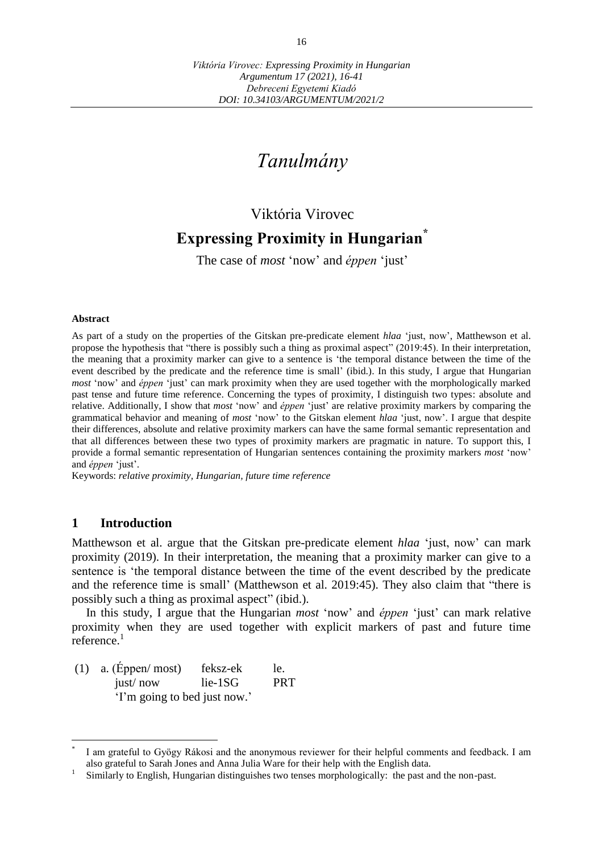# *Tanulmány*

# Viktória Virovec

# **Expressing Proximity in Hungarian\***

The case of *most* 'now' and *éppen* 'just'

#### **Abstract**

As part of a study on the properties of the Gitskan pre-predicate element *hlaa* 'just, now', Matthewson et al. propose the hypothesis that "there is possibly such a thing as proximal aspect" (2019:45). In their interpretation, the meaning that a proximity marker can give to a sentence is 'the temporal distance between the time of the event described by the predicate and the reference time is small' (ibid.). In this study, I argue that Hungarian *most* 'now' and *éppen* 'just' can mark proximity when they are used together with the morphologically marked past tense and future time reference. Concerning the types of proximity, I distinguish two types: absolute and relative. Additionally, I show that *most* 'now' and *éppen* 'just' are relative proximity markers by comparing the grammatical behavior and meaning of *most* 'now' to the Gitskan element *hlaa* 'just, now'. I argue that despite their differences, absolute and relative proximity markers can have the same formal semantic representation and that all differences between these two types of proximity markers are pragmatic in nature. To support this, I provide a formal semantic representation of Hungarian sentences containing the proximity markers *most* 'now' and *éppen* 'just'.

Keywords: *relative proximity, Hungarian, future time reference*

#### **1 Introduction**

 $\overline{a}$ 

Matthewson et al. argue that the Gitskan pre-predicate element *hlaa* 'just, now' can mark proximity (2019). In their interpretation, the meaning that a proximity marker can give to a sentence is 'the temporal distance between the time of the event described by the predicate and the reference time is small' (Matthewson et al. 2019:45). They also claim that "there is possibly such a thing as proximal aspect" (ibid.).

In this study, I argue that the Hungarian *most* 'now' and *éppen* 'just' can mark relative proximity when they are used together with explicit markers of past and future time reference.<sup>1</sup>

(1) a. (Éppen/ most) feksz-ek le. just/ now lie-1SG PRT 'I'm going to bed just now.'

<sup>\*</sup> I am grateful to Gyögy Rákosi and the anonymous reviewer for their helpful comments and feedback. I am also grateful to Sarah Jones and Anna Julia Ware for their help with the English data.

<sup>1</sup> Similarly to English, Hungarian distinguishes two tenses morphologically: the past and the non-past.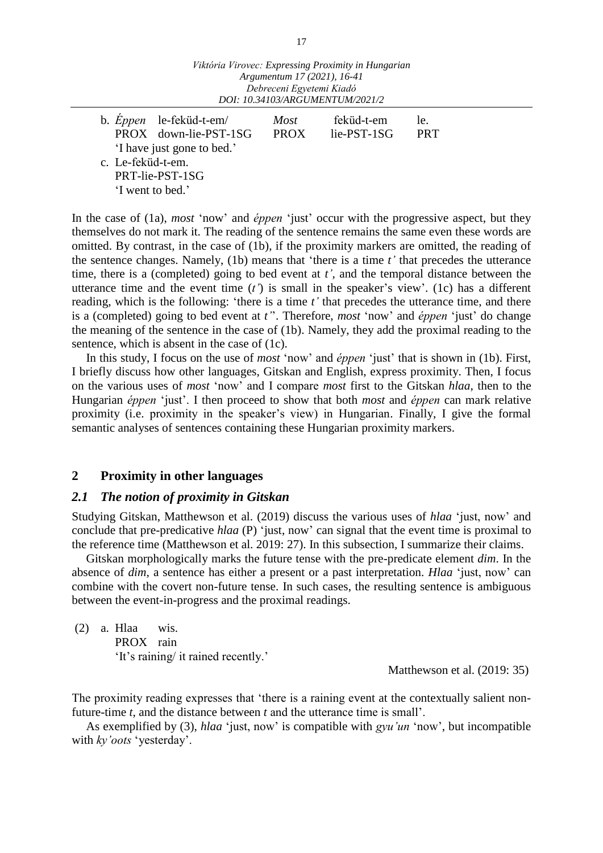'I have just gone to bed.' c. Le-feküd-t-em. PRT-lie-PST-1SG 'I went to bed.'

In the case of (1a), *most* 'now' and *éppen* 'just' occur with the progressive aspect, but they themselves do not mark it. The reading of the sentence remains the same even these words are omitted. By contrast, in the case of (1b), if the proximity markers are omitted, the reading of the sentence changes. Namely, (1b) means that 'there is a time *t'* that precedes the utterance time, there is a (completed) going to bed event at *t',* and the temporal distance between the utterance time and the event time (*t'*) is small in the speaker's view'. (1c) has a different reading, which is the following: 'there is a time *t'* that precedes the utterance time, and there is a (completed) going to bed event at *t'*'. Therefore, *most* 'now' and *éppen* 'just' do change the meaning of the sentence in the case of (1b). Namely, they add the proximal reading to the sentence, which is absent in the case of (1c).

In this study, I focus on the use of *most* 'now' and *éppen* 'just' that is shown in (1b). First, I briefly discuss how other languages, Gitskan and English, express proximity. Then, I focus on the various uses of *most* 'now' and I compare *most* first to the Gitskan *hlaa*, then to the Hungarian *éppen* 'just'. I then proceed to show that both *most* and *éppen* can mark relative proximity (i.e. proximity in the speaker's view) in Hungarian. Finally, I give the formal semantic analyses of sentences containing these Hungarian proximity markers.

# **2 Proximity in other languages**

#### *2.1 The notion of proximity in Gitskan*

Studying Gitskan, Matthewson et al. (2019) discuss the various uses of *hlaa* 'just, now' and conclude that pre-predicative *hlaa* (P) 'just, now' can signal that the event time is proximal to the reference time (Matthewson et al. 2019: 27). In this subsection, I summarize their claims.

Gitskan morphologically marks the future tense with the pre-predicate element *dim*. In the absence of *dim,* a sentence has either a present or a past interpretation. *Hlaa* 'just, now' can combine with the covert non-future tense. In such cases, the resulting sentence is ambiguous between the event-in-progress and the proximal readings.

(2) a. Hlaa wis. PROX rain 'It's raining/ it rained recently.'

Matthewson et al. (2019: 35)

The proximity reading expresses that 'there is a raining event at the contextually salient nonfuture-time *t*, and the distance between *t* and the utterance time is small'.

As exemplified by (3), *hlaa* 'just, now' is compatible with *gyu'un* 'now', but incompatible with *ky'oots* 'yesterday'.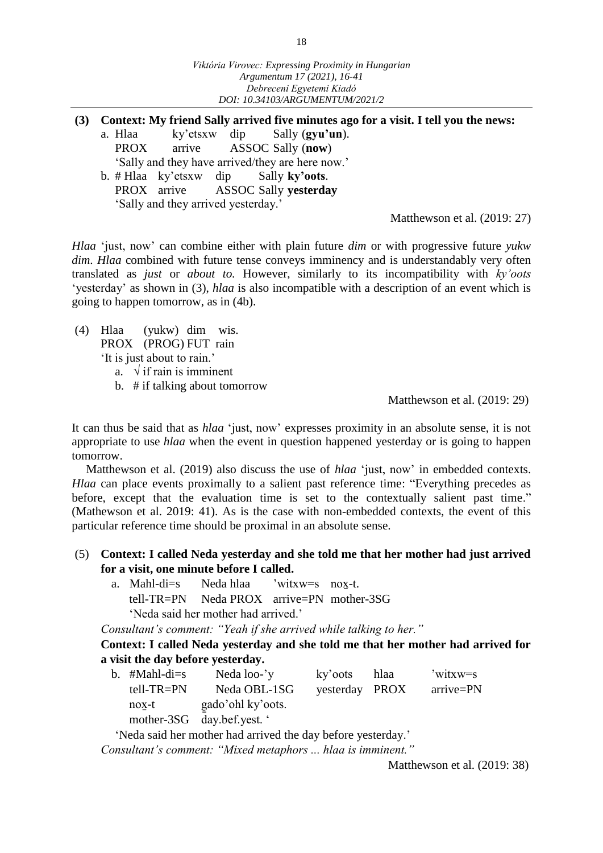- **(3) Context: My friend Sally arrived five minutes ago for a visit. I tell you the news:**
	- a. Hlaa ky'etsxw dip Sally (**gyu'un**). PROX arrive ASSOC Sally (**now**) 'Sally and they have arrived/they are here now.'
	- b. # Hlaa ky'etsxw dip Sally **ky'oots**. PROX arrive ASSOC Sally **yesterday** 'Sally and they arrived yesterday.'

Matthewson et al. (2019: 27)

*Hlaa* 'just, now' can combine either with plain future *dim* or with progressive future *yukw dim*. *Hlaa* combined with future tense conveys imminency and is understandably very often translated as *just* or *about to.* However, similarly to its incompatibility with *ky'oots*  'yesterday' as shown in (3), *hlaa* is also incompatible with a description of an event which is going to happen tomorrow, as in (4b).

- (4) Hlaa (yukw) dim wis. PROX (PROG) FUT rain 'It is just about to rain.'
	- a.  $\sqrt{ }$  if rain is imminent
	- b. # if talking about tomorrow

Matthewson et al. (2019: 29)

It can thus be said that as *hlaa* 'just, now' expresses proximity in an absolute sense, it is not appropriate to use *hlaa* when the event in question happened yesterday or is going to happen tomorrow.

Matthewson et al. (2019) also discuss the use of *hlaa* 'just, now' in embedded contexts. *Hlaa* can place events proximally to a salient past reference time: "Everything precedes as before, except that the evaluation time is set to the contextually salient past time." (Mathewson et al. 2019: 41). As is the case with non-embedded contexts, the event of this particular reference time should be proximal in an absolute sense.

- (5) **Context: I called Neda yesterday and she told me that her mother had just arrived for a visit, one minute before I called.**
	- a. Mahl-di=s Neda hlaa 'witxw=s nox-t. tell-TR=PN Neda PROX arrive=PN mother-3SG 'Neda said her mother had arrived.'

*Consultant's comment: "Yeah if she arrived while talking to her."*

**Context: I called Neda yesterday and she told me that her mother had arrived for a visit the day before yesterday.**

| b. #Mahl-di=s | Neda loo-'y                | ky'oots hlaa   | 'witxw=s  |
|---------------|----------------------------|----------------|-----------|
| $tell-TR=PN$  | Neda OBL-1SG               | yesterday PROX | arrive=PN |
| nox-t         | gado'ohl ky'oots.          |                |           |
|               | mother-3SG day.bef.yest. ' |                |           |

'Neda said her mother had arrived the day before yesterday.'

*Consultant's comment: "Mixed metaphors ... hlaa is imminent."*

Matthewson et al. (2019: 38)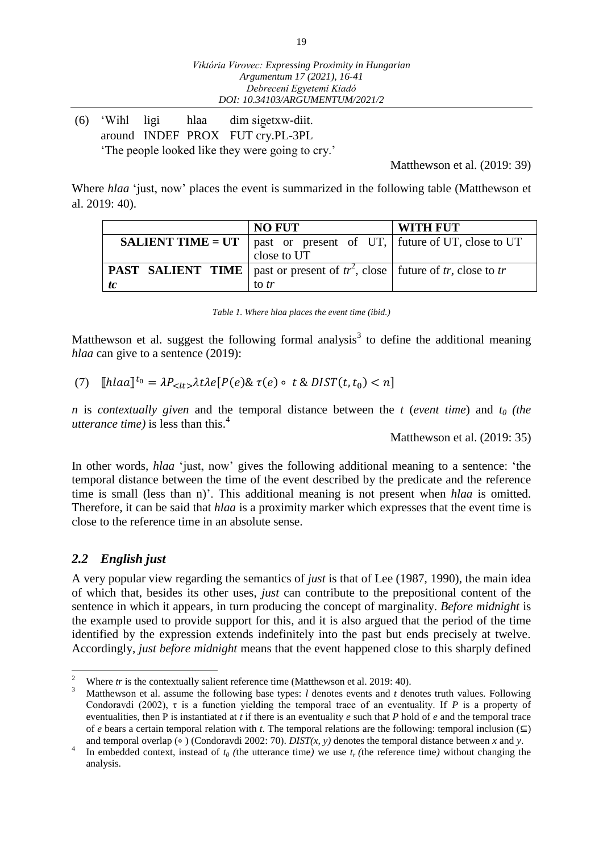(6) 'Wihl ligi hlaa dim sig̱etxw-diit. around INDEF PROX FUT cry.PL-3PL 'The people looked like they were going to cry.'

Matthewson et al. (2019: 39)

Where *hlaa* 'just, now' places the event is summarized in the following table (Matthewson et al. 2019: 40).

|    | <b>NO FUT</b>                                                                            | <b>WITH FUT</b> |  |  |
|----|------------------------------------------------------------------------------------------|-----------------|--|--|
|    | <b>SALIENT TIME = UT</b>   past or present of UT,   future of UT, close to UT            |                 |  |  |
|    | close to UT                                                                              |                 |  |  |
|    | <b>PAST</b> SALIENT TIME   past or present of $tr^2$ , close   future of tr, close to tr |                 |  |  |
| tc | to tr                                                                                    |                 |  |  |

| Table 1. Where hlaa places the event time (ibid.) |  |  |  |  |  |  |  |  |
|---------------------------------------------------|--|--|--|--|--|--|--|--|
|---------------------------------------------------|--|--|--|--|--|--|--|--|

Matthewson et al. suggest the following formal analysis<sup>3</sup> to define the additional meaning *hlaa* can give to a sentence (2019):

(7)  $[hlaa]^{t_0} = \lambda P_{} \lambda t \lambda e[P(e) \& \tau(e) \circ t \& DIST(t, t_0) < n]$ 

*n* is *contextually given* and the temporal distance between the *t* (*event time*) and *t<sup>0</sup> (the utterance time)* is less than this. 4

Matthewson et al. (2019: 35)

In other words, *hlaa* 'just, now' gives the following additional meaning to a sentence: 'the temporal distance between the time of the event described by the predicate and the reference time is small (less than n)'. This additional meaning is not present when *hlaa* is omitted. Therefore, it can be said that *hlaa* is a proximity marker which expresses that the event time is close to the reference time in an absolute sense.

# *2.2 English just*

A very popular view regarding the semantics of *just* is that of Lee (1987, 1990), the main idea of which that, besides its other uses, *just* can contribute to the prepositional content of the sentence in which it appears, in turn producing the concept of marginality. *Before midnight* is the example used to provide support for this*,* and it is also argued that the period of the time identified by the expression extends indefinitely into the past but ends precisely at twelve. Accordingly, *just before midnight* means that the event happened close to this sharply defined

 $\overline{a}$ <sup>2</sup> Where *tr* is the contextually salient reference time (Matthewson et al. 2019: 40).

<sup>3</sup> Matthewson et al. assume the following base types: *l* denotes events and *t* denotes truth values. Following Condoravdi (2002),  $\tau$  is a function yielding the temporal trace of an eventuality. If *P* is a property of eventualities, then P is instantiated at *t* if there is an eventuality *e* such that *P* hold of *e* and the temporal trace of *e* bears a certain temporal relation with *t*. The temporal relations are the following: temporal inclusion  $(\subseteq)$ and temporal overlap (∘ ) (Condoravdi 2002: 70). *DIST(x, y)* denotes the temporal distance between *x* and *y*.

<sup>4</sup> In embedded context, instead of  $t_0$  (the utterance time) we use  $t_r$  (the reference time) without changing the analysis.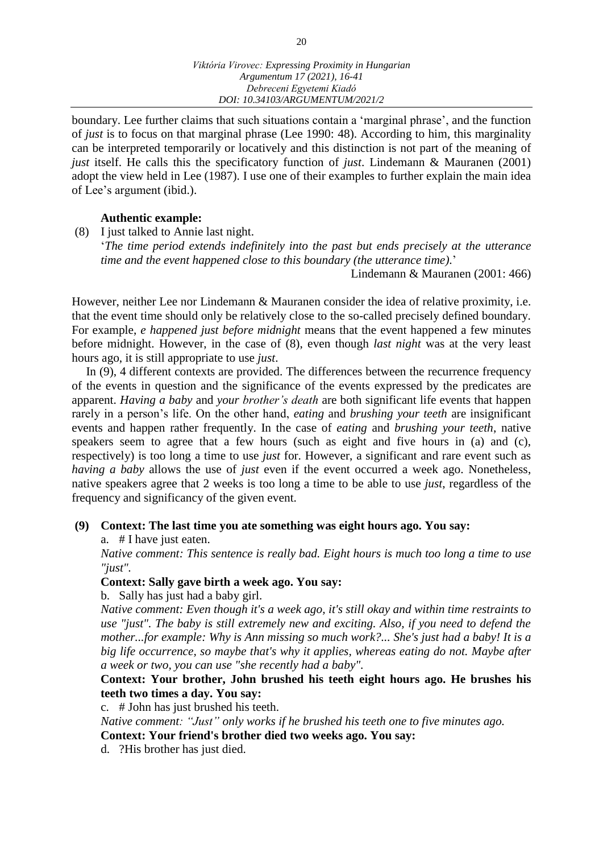boundary. Lee further claims that such situations contain a 'marginal phrase', and the function of *just* is to focus on that marginal phrase (Lee 1990: 48). According to him, this marginality can be interpreted temporarily or locatively and this distinction is not part of the meaning of *just* itself. He calls this the specificatory function of *just*. Lindemann & Mauranen (2001) adopt the view held in Lee (1987). I use one of their examples to further explain the main idea of Lee's argument (ibid.).

#### **Authentic example:**

(8) I just talked to Annie last night. '*The time period extends indefinitely into the past but ends precisely at the utterance time and the event happened close to this boundary (the utterance time)*.'

Lindemann & Mauranen (2001: 466)

However, neither Lee nor Lindemann & Mauranen consider the idea of relative proximity, i.e. that the event time should only be relatively close to the so-called precisely defined boundary. For example, *e happened just before midnight* means that the event happened a few minutes before midnight. However, in the case of (8), even though *last night* was at the very least hours ago, it is still appropriate to use *just*.

In (9), 4 different contexts are provided. The differences between the recurrence frequency of the events in question and the significance of the events expressed by the predicates are apparent. *Having a baby* and *your brother's death* are both significant life events that happen rarely in a person's life. On the other hand, *eating* and *brushing your teeth* are insignificant events and happen rather frequently. In the case of *eating* and *brushing your teeth*, native speakers seem to agree that a few hours (such as eight and five hours in (a) and (c), respectively) is too long a time to use *just* for. However, a significant and rare event such as *having a baby* allows the use of *just* even if the event occurred a week ago. Nonetheless, native speakers agree that 2 weeks is too long a time to be able to use *just*, regardless of the frequency and significancy of the given event.

#### **(9) Context: The last time you ate something was eight hours ago. You say:**

a. # I have just eaten.

*Native comment: This sentence is really bad. Eight hours is much too long a time to use "just".*

#### **Context: Sally gave birth a week ago. You say:**

b. Sally has just had a baby girl.

*Native comment: Even though it's a week ago, it's still okay and within time restraints to use "just". The baby is still extremely new and exciting. Also, if you need to defend the mother...for example: Why is Ann missing so much work?... She's just had a baby! It is a big life occurrence, so maybe that's why it applies, whereas eating do not. Maybe after a week or two, you can use "she recently had a baby".*

# **Context: Your brother, John brushed his teeth eight hours ago. He brushes his teeth two times a day. You say:**

c. # John has just brushed his teeth.

*Native comment: "Just" only works if he brushed his teeth one to five minutes ago.*

**Context: Your friend's brother died two weeks ago. You say:**

d. ?His brother has just died.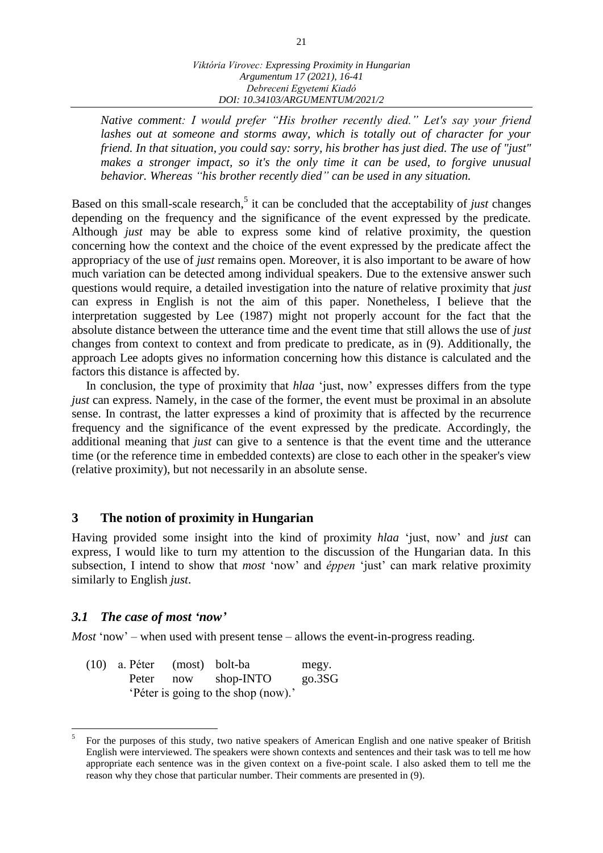*Native comment: I would prefer "His brother recently died." Let's say your friend*  lashes out at someone and storms away, which is totally out of character for your *friend. In that situation, you could say: sorry, his brother has just died. The use of "just" makes a stronger impact, so it's the only time it can be used, to forgive unusual behavior. Whereas "his brother recently died" can be used in any situation.*

Based on this small-scale research, 5 it can be concluded that the acceptability of *just* changes depending on the frequency and the significance of the event expressed by the predicate. Although *just* may be able to express some kind of relative proximity, the question concerning how the context and the choice of the event expressed by the predicate affect the appropriacy of the use of *just* remains open. Moreover, it is also important to be aware of how much variation can be detected among individual speakers. Due to the extensive answer such questions would require, a detailed investigation into the nature of relative proximity that *just* can express in English is not the aim of this paper. Nonetheless, I believe that the interpretation suggested by Lee (1987) might not properly account for the fact that the absolute distance between the utterance time and the event time that still allows the use of *just*  changes from context to context and from predicate to predicate, as in (9). Additionally, the approach Lee adopts gives no information concerning how this distance is calculated and the factors this distance is affected by.

In conclusion, the type of proximity that *hlaa* 'just, now' expresses differs from the type *just* can express. Namely, in the case of the former, the event must be proximal in an absolute sense. In contrast, the latter expresses a kind of proximity that is affected by the recurrence frequency and the significance of the event expressed by the predicate. Accordingly, the additional meaning that *just* can give to a sentence is that the event time and the utterance time (or the reference time in embedded contexts) are close to each other in the speaker's view (relative proximity), but not necessarily in an absolute sense.

# **3 The notion of proximity in Hungarian**

Having provided some insight into the kind of proximity *hlaa* 'just, now' and *just* can express, I would like to turn my attention to the discussion of the Hungarian data. In this subsection, I intend to show that *most* 'now' and *éppen* 'just' can mark relative proximity similarly to English *just*.

#### *3.1 The case of most 'now'*

 $\overline{a}$ 

*Most* 'now' – when used with present tense – allows the event-in-progress reading.

(10) a. Péter (most) bolt-ba megy. Peter now shop-INTO go.3SG 'Péter is going to the shop (now).'

<sup>5</sup> For the purposes of this study, two native speakers of American English and one native speaker of British English were interviewed. The speakers were shown contexts and sentences and their task was to tell me how appropriate each sentence was in the given context on a five-point scale. I also asked them to tell me the reason why they chose that particular number. Their comments are presented in (9).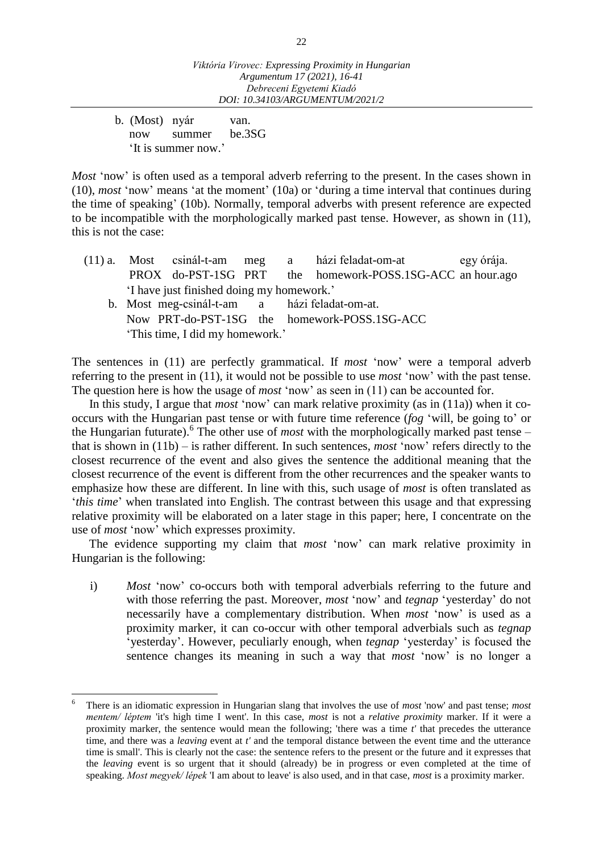b. (Most) nyár van. now summer be.3SG 'It is summer now.'

 $\overline{a}$ 

*Most* 'now' is often used as a temporal adverb referring to the present. In the cases shown in (10), *most* 'now' means 'at the moment' (10a) or 'during a time interval that continues during the time of speaking' (10b). Normally, temporal adverbs with present reference are expected to be incompatible with the morphologically marked past tense. However, as shown in (11), this is not the case:

- (11) a. Most csinál-t-am meg a házi feladat-om-at egy órája. PROX do-PST-1SG PRT the homework-POSS.1SG-ACC an hour.ago 'I have just finished doing my homework.'
	- b. Most meg-csinál-t-am a házi feladat-om-at. Now PRT-do-PST-1SG the homework-POSS.1SG-ACC 'This time, I did my homework.'

The sentences in (11) are perfectly grammatical. If *most* 'now' were a temporal adverb referring to the present in (11), it would not be possible to use *most* 'now' with the past tense. The question here is how the usage of *most* 'now' as seen in (11) can be accounted for.

In this study, I argue that *most* 'now' can mark relative proximity (as in (11a)) when it cooccurs with the Hungarian past tense or with future time reference (*fog* 'will, be going to' or the Hungarian futurate). 6 The other use of *most* with the morphologically marked past tense – that is shown in (11b) – is rather different. In such sentences, *most* 'now' refers directly to the closest recurrence of the event and also gives the sentence the additional meaning that the closest recurrence of the event is different from the other recurrences and the speaker wants to emphasize how these are different. In line with this, such usage of *most* is often translated as '*this time*' when translated into English. The contrast between this usage and that expressing relative proximity will be elaborated on a later stage in this paper; here, I concentrate on the use of *most* 'now' which expresses proximity.

The evidence supporting my claim that *most* 'now' can mark relative proximity in Hungarian is the following:

i) *Most* 'now' co-occurs both with temporal adverbials referring to the future and with those referring the past. Moreover, *most* 'now' and *tegnap* 'yesterday' do not necessarily have a complementary distribution. When *most* 'now' is used as a proximity marker, it can co-occur with other temporal adverbials such as *tegnap* 'yesterday'. However, peculiarly enough, when *tegnap* 'yesterday' is focused the sentence changes its meaning in such a way that *most* 'now' is no longer a

<sup>6</sup> There is an idiomatic expression in Hungarian slang that involves the use of *most* 'now' and past tense; *most mentem/ léptem* 'it's high time I went'. In this case, *most* is not a *relative proximity* marker. If it were a proximity marker, the sentence would mean the following; 'there was a time *t'* that precedes the utterance time, and there was a *leaving* event at *t'* and the temporal distance between the event time and the utterance time is small'. This is clearly not the case: the sentence refers to the present or the future and it expresses that the *leaving* event is so urgent that it should (already) be in progress or even completed at the time of speaking. *Most megyek/ lépek* 'I am about to leave' is also used, and in that case, *most* is a proximity marker.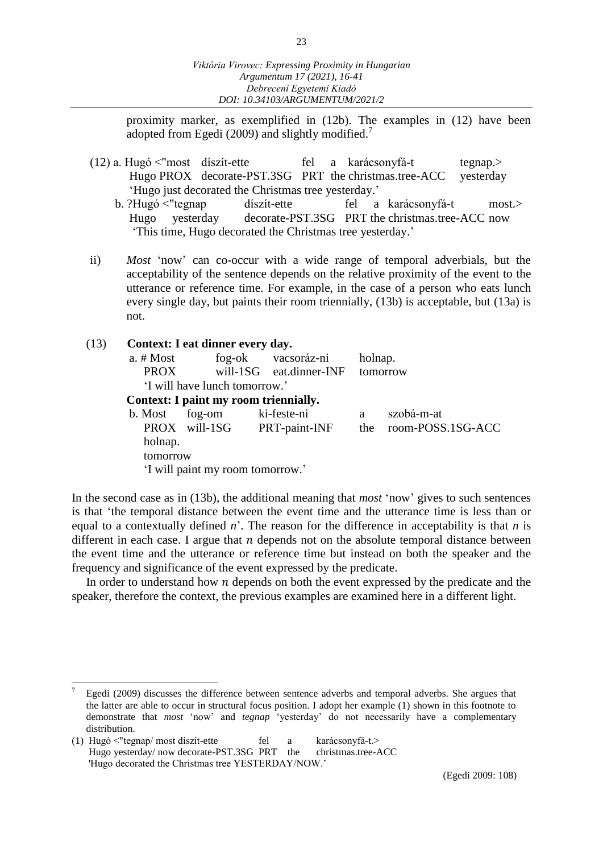proximity marker, as exemplified in (12b). The examples in (12) have been adopted from Egedi (2009) and slightly modified.<sup>7</sup>

- $(12)$  a. Hugó <"most díszít-ette fel a karácsonyfá-t tegnap.> Hugo PROX decorate-PST.3SG PRT the christmas.tree-ACC yesterday 'Hugo just decorated the Christmas tree yesterday.'
	- b. ?Hugó <"tegnap díszít-ette fel a karácsonyfá-t most.> Hugo yesterday decorate-PST.3SG PRT the christmas.tree-ACC now 'This time, Hugo decorated the Christmas tree yesterday.'
- ii) *Most* 'now' can co-occur with a wide range of temporal adverbials, but the acceptability of the sentence depends on the relative proximity of the event to the utterance or reference time. For example, in the case of a person who eats lunch every single day, but paints their room triennially, (13b) is acceptable, but (13a) is not.

#### (13) **Context: I eat dinner every day.**

| a. # Most   |                                       | fog-ok vacsoráz-ni          | holnap. |                   |  |  |  |  |
|-------------|---------------------------------------|-----------------------------|---------|-------------------|--|--|--|--|
| <b>PROX</b> |                                       | will-1SG eat.dinner-INF     |         | tomorrow          |  |  |  |  |
|             | 'I will have lunch tomorrow.'         |                             |         |                   |  |  |  |  |
|             | Context: I paint my room triennially. |                             |         |                   |  |  |  |  |
| b. Most     | fog-om ki-feste-ni                    |                             | a       | szobá-m-at        |  |  |  |  |
|             |                                       | PROX will-1SG PRT-paint-INF | the     | room-POSS.1SG-ACC |  |  |  |  |
| holnap.     |                                       |                             |         |                   |  |  |  |  |
| tomorrow    |                                       |                             |         |                   |  |  |  |  |
|             | 'I will paint my room tomorrow.'      |                             |         |                   |  |  |  |  |
|             |                                       |                             |         |                   |  |  |  |  |

In the second case as in (13b), the additional meaning that *most* 'now' gives to such sentences is that 'the temporal distance between the event time and the utterance time is less than or equal to a contextually defined *n*'. The reason for the difference in acceptability is that *n* is different in each case. I argue that  $n$  depends not on the absolute temporal distance between the event time and the utterance or reference time but instead on both the speaker and the frequency and significance of the event expressed by the predicate.

In order to understand how  $n$  depends on both the event expressed by the predicate and the speaker, therefore the context, the previous examples are examined here in a different light.

 $\overline{a}$ 

<sup>7</sup> Egedi (2009) discusses the difference between sentence adverbs and temporal adverbs. She argues that the latter are able to occur in structural focus position. I adopt her example (1) shown in this footnote to demonstrate that *most* 'now' and *tegnap* 'yesterday' do not necessarily have a complementary distribution.

<sup>(1)</sup> Hugó <"tegnap/ most díszít-ette fel a karácsonyfá-t.><br>Hugo yesterday/ now decorate-PST.3SG PRT the christmas.tree-ACC Hugo yesterday/ now decorate-PST.3SG PRT the 'Hugo decorated the Christmas tree YESTERDAY/NOW.'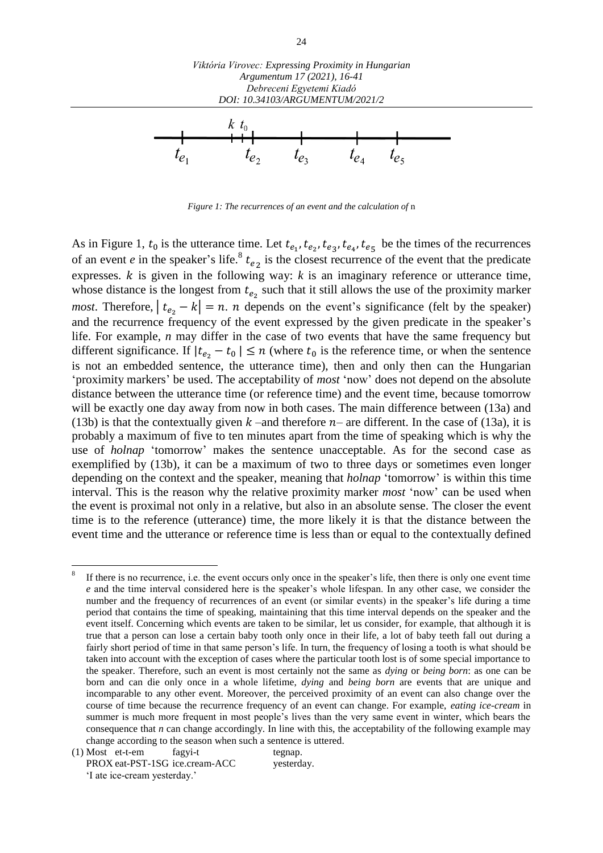

*Figure 1: The recurrences of an event and the calculation of* n

As in Figure 1,  $t_0$  is the utterance time. Let  $t_{e_1}, t_{e_2}, t_{e_3}, t_{e_4}, t_{e_5}$  be the times of the recurrences of an event *e* in the speaker's life.<sup>8</sup>  $t_{e_2}$  is the closest recurrence of the event that the predicate expresses.  $k$  is given in the following way:  $k$  is an imaginary reference or utterance time, whose distance is the longest from  $t_{e_2}$  such that it still allows the use of the proximity marker *most*. Therefore,  $| t_{e_2} - k | = n$ . *n* depends on the event's significance (felt by the speaker) and the recurrence frequency of the event expressed by the given predicate in the speaker's life. For example, *n* may differ in the case of two events that have the same frequency but different significance. If  $|t_{e_2} - t_0| \le n$  (where  $t_0$  is the reference time, or when the sentence is not an embedded sentence, the utterance time), then and only then can the Hungarian 'proximity markers' be used. The acceptability of *most* 'now' does not depend on the absolute distance between the utterance time (or reference time) and the event time, because tomorrow will be exactly one day away from now in both cases. The main difference between (13a) and (13b) is that the contextually given  $k$  –and therefore  $n-$  are different. In the case of (13a), it is probably a maximum of five to ten minutes apart from the time of speaking which is why the use of *holnap* 'tomorrow' makes the sentence unacceptable. As for the second case as exemplified by (13b), it can be a maximum of two to three days or sometimes even longer depending on the context and the speaker, meaning that *holnap* 'tomorrow' is within this time interval. This is the reason why the relative proximity marker *most* 'now' can be used when the event is proximal not only in a relative, but also in an absolute sense. The closer the event time is to the reference (utterance) time, the more likely it is that the distance between the event time and the utterance or reference time is less than or equal to the contextually defined

 $\overline{a}$ 

<sup>8</sup> If there is no recurrence, i.e. the event occurs only once in the speaker's life, then there is only one event time *e* and the time interval considered here is the speaker's whole lifespan. In any other case, we consider the number and the frequency of recurrences of an event (or similar events) in the speaker's life during a time period that contains the time of speaking, maintaining that this time interval depends on the speaker and the event itself. Concerning which events are taken to be similar, let us consider, for example, that although it is true that a person can lose a certain baby tooth only once in their life, a lot of baby teeth fall out during a fairly short period of time in that same person's life. In turn, the frequency of losing a tooth is what should be taken into account with the exception of cases where the particular tooth lost is of some special importance to the speaker. Therefore, such an event is most certainly not the same as *dying* or *being born*: as one can be born and can die only once in a whole lifetime, *dying* and *being born* are events that are unique and incomparable to any other event. Moreover, the perceived proximity of an event can also change over the course of time because the recurrence frequency of an event can change. For example, *eating ice-cream* in summer is much more frequent in most people's lives than the very same event in winter, which bears the consequence that *n* can change accordingly. In line with this, the acceptability of the following example may change according to the season when such a sentence is uttered.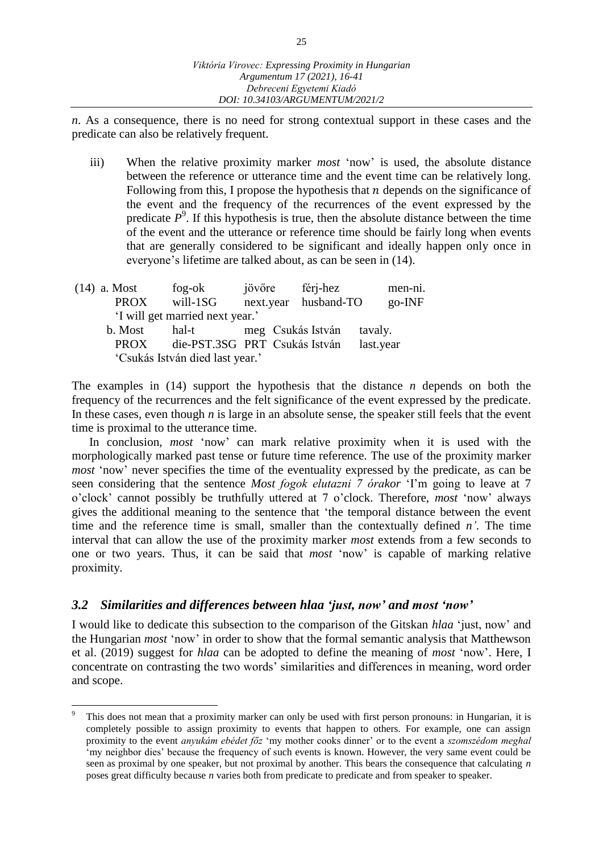*n*. As a consequence, there is no need for strong contextual support in these cases and the predicate can also be relatively frequent.

- iii) When the relative proximity marker *most* 'now' is used, the absolute distance between the reference or utterance time and the event time can be relatively long. Following from this, I propose the hypothesis that  $n$  depends on the significance of the event and the frequency of the recurrences of the event expressed by the predicate  $P^9$ . If this hypothesis is true, then the absolute distance between the time of the event and the utterance or reference time should be fairly long when events that are generally considered to be significant and ideally happen only once in everyone's lifetime are talked about, as can be seen in (14).
- (14) a. Most fog-ok jövőre férj-hez men-ni. PROX will-1SG next.year husband-TO go-INF 'I will get married next year.' b. Most hal-t meg Csukás István tavaly. PROX die-PST.3SG PRT Csukás István last.year 'Csukás István died last year.'

The examples in (14) support the hypothesis that the distance *n* depends on both the frequency of the recurrences and the felt significance of the event expressed by the predicate. In these cases, even though *n* is large in an absolute sense, the speaker still feels that the event time is proximal to the utterance time.

In conclusion, *most* 'now' can mark relative proximity when it is used with the morphologically marked past tense or future time reference. The use of the proximity marker *most* 'now' never specifies the time of the eventuality expressed by the predicate, as can be seen considering that the sentence *Most fogok elutazni 7 órakor* 'I'm going to leave at 7 o'clock' cannot possibly be truthfully uttered at 7 o'clock. Therefore, *most* 'now' always gives the additional meaning to the sentence that 'the temporal distance between the event time and the reference time is small, smaller than the contextually defined *n'*. The time interval that can allow the use of the proximity marker *most* extends from a few seconds to one or two years. Thus, it can be said that *most* 'now' is capable of marking relative proximity.

# *3.2 Similarities and differences between hlaa 'just, now' and most 'now'*

 $\overline{a}$ 

I would like to dedicate this subsection to the comparison of the Gitskan *hlaa* 'just, now' and the Hungarian *most* 'now' in order to show that the formal semantic analysis that Matthewson et al. (2019) suggest for *hlaa* can be adopted to define the meaning of *most* 'now'. Here, I concentrate on contrasting the two words' similarities and differences in meaning, word order and scope.

This does not mean that a proximity marker can only be used with first person pronouns: in Hungarian, it is completely possible to assign proximity to events that happen to others. For example, one can assign proximity to the event *anyukám ebédet főz* 'my mother cooks dinner' or to the event a *szomszédom meghal* 'my neighbor dies' because the frequency of such events is known. However, the very same event could be seen as proximal by one speaker, but not proximal by another. This bears the consequence that calculating *n*  poses great difficulty because *n* varies both from predicate to predicate and from speaker to speaker.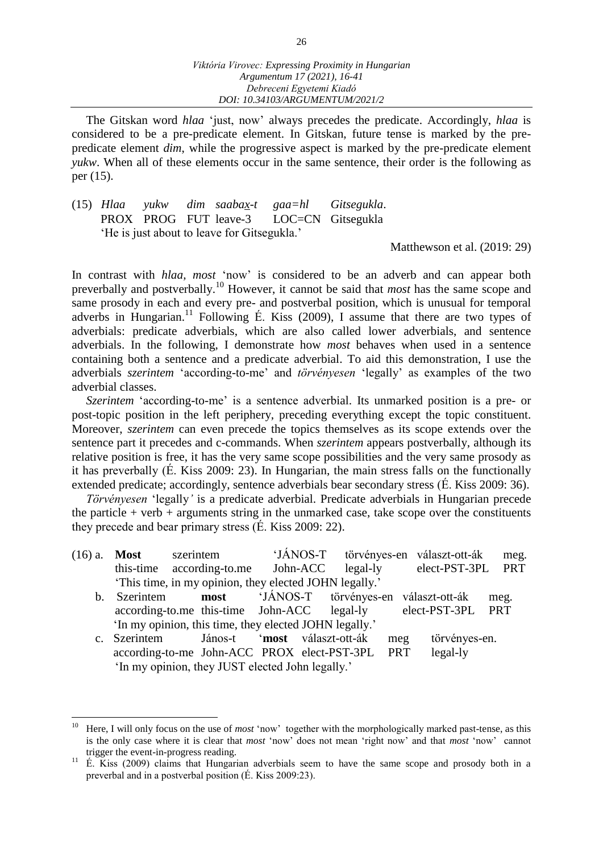The Gitskan word *hlaa* 'just, now' always precedes the predicate. Accordingly, *hlaa* is considered to be a pre-predicate element. In Gitskan, future tense is marked by the prepredicate element *dim*, while the progressive aspect is marked by the pre-predicate element *yukw*. When all of these elements occur in the same sentence, their order is the following as per (15).

(15) *Hlaa yukw dim saabax-t gaa=hl Gitsegukla*. PROX PROG FUT leave-3 LOC=CN Gitsegukla 'He is just about to leave for Gitsegukla.'

Matthewson et al. (2019: 29)

In contrast with *hlaa, most* 'now' is considered to be an adverb and can appear both preverbally and postverbally. <sup>10</sup> However, it cannot be said that *most* has the same scope and same prosody in each and every pre- and postverbal position, which is unusual for temporal adverbs in Hungarian.<sup>11</sup> Following É. Kiss (2009), I assume that there are two types of adverbials: predicate adverbials, which are also called lower adverbials, and sentence adverbials. In the following, I demonstrate how *most* behaves when used in a sentence containing both a sentence and a predicate adverbial. To aid this demonstration, I use the adverbials *szerintem* 'according-to-me' and *törvényesen* 'legally' as examples of the two adverbial classes.

*Szerintem* 'according-to-me' is a sentence adverbial. Its unmarked position is a pre- or post-topic position in the left periphery, preceding everything except the topic constituent. Moreover, *szerintem* can even precede the topics themselves as its scope extends over the sentence part it precedes and c-commands. When *szerintem* appears postverbally, although its relative position is free, it has the very same scope possibilities and the very same prosody as it has preverbally (É. Kiss 2009: 23). In Hungarian, the main stress falls on the functionally extended predicate; accordingly, sentence adverbials bear secondary stress (É. Kiss 2009: 36).

*Törvényesen* 'legally*'* is a predicate adverbial. Predicate adverbials in Hungarian precede the particle  $+$  verb  $+$  arguments string in the unmarked case, take scope over the constituents they precede and bear primary stress (É. Kiss 2009: 22).

| $(16)$ a. <b>Most</b> | szerintem                                              |  | 'JÁNOS-T törvényes-en választ-ott-ák meg. |  |
|-----------------------|--------------------------------------------------------|--|-------------------------------------------|--|
|                       | this-time according-to.me John-ACC legal-ly            |  | elect-PST-3PL PRT                         |  |
|                       | 'This time, in my opinion, they elected JOHN legally.' |  |                                           |  |

- b. Szerintem **most** 'JÁNOS-T törvényes-en választ-ott-ák meg. according-to.me this-time John-ACC legal-ly elect-PST-3PL PRT 'In my opinion, this time, they elected JOHN legally.'
- c. Szerintem János-t '**most** választ-ott-ák meg törvényes-en. according-to-me John-ACC PROX elect-PST-3PL PRT legal-ly 'In my opinion, they JUST elected John legally.'

 $\overline{a}$ 

Here, I will only focus on the use of *most* 'now' together with the morphologically marked past-tense, as this is the only case where it is clear that *most* 'now' does not mean 'right now' and that *most* 'now' cannot trigger the event-in-progress reading.

<sup>&</sup>lt;sup>11</sup> É. Kiss (2009) claims that Hungarian adverbials seem to have the same scope and prosody both in a preverbal and in a postverbal position (É. Kiss 2009:23).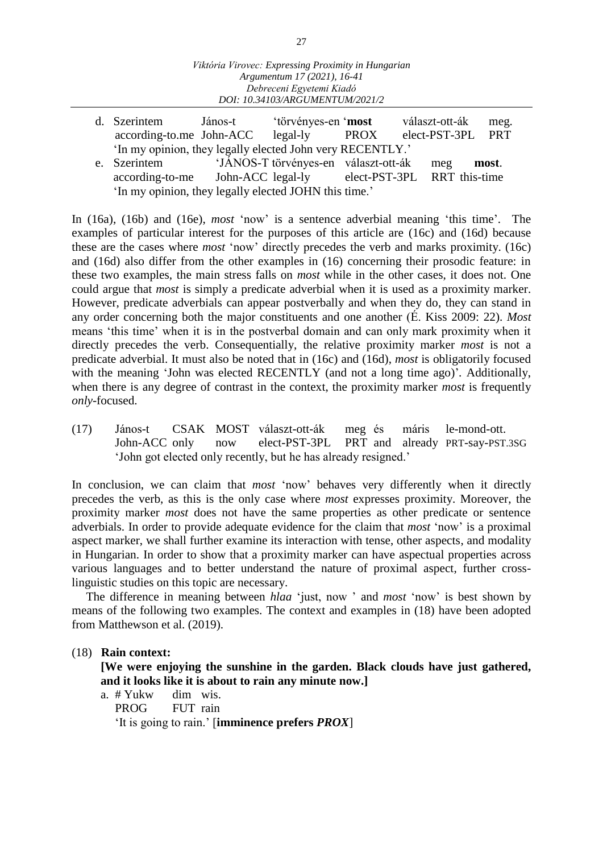|                                                               | d. Szerintem                                              | János-t | 'törvényes-en ' <b>most</b>              |      |  | választ-ott-ák    | meg.  |  |  |  |  |
|---------------------------------------------------------------|-----------------------------------------------------------|---------|------------------------------------------|------|--|-------------------|-------|--|--|--|--|
|                                                               | according-to.me John-ACC legal-ly                         |         |                                          | PROX |  | elect-PST-3PL PRT |       |  |  |  |  |
|                                                               | 'In my opinion, they legally elected John very RECENTLY.' |         |                                          |      |  |                   |       |  |  |  |  |
|                                                               | e. Szerintem                                              |         | 'JÁNOS-T törvényes-en választ-ott-ák meg |      |  |                   | most. |  |  |  |  |
| according-to-me John-ACC legal-ly elect-PST-3PL RRT this-time |                                                           |         |                                          |      |  |                   |       |  |  |  |  |
|                                                               | 'In my opinion, they legally elected JOHN this time.'     |         |                                          |      |  |                   |       |  |  |  |  |

In (16a), (16b) and (16e), *most* 'now' is a sentence adverbial meaning 'this time'. The examples of particular interest for the purposes of this article are (16c) and (16d) because these are the cases where *most* 'now' directly precedes the verb and marks proximity. (16c) and (16d) also differ from the other examples in (16) concerning their prosodic feature: in these two examples, the main stress falls on *most* while in the other cases, it does not. One could argue that *most* is simply a predicate adverbial when it is used as a proximity marker. However, predicate adverbials can appear postverbally and when they do, they can stand in any order concerning both the major constituents and one another (É. Kiss 2009: 22). *Most* means 'this time' when it is in the postverbal domain and can only mark proximity when it directly precedes the verb. Consequentially, the relative proximity marker *most* is not a predicate adverbial. It must also be noted that in (16c) and (16d), *most* is obligatorily focused with the meaning 'John was elected RECENTLY (and not a long time ago)'*.* Additionally, when there is any degree of contrast in the context, the proximity marker *most* is frequently *only*-focused.

(17) János-t CSAK MOST választ-ott-ák meg és máris le-mond-ott. now elect-PST-3PL PRT and already PRT-say-PST.3SG 'John got elected only recently, but he has already resigned.'

In conclusion, we can claim that *most* 'now' behaves very differently when it directly precedes the verb, as this is the only case where *most* expresses proximity. Moreover, the proximity marker *most* does not have the same properties as other predicate or sentence adverbials. In order to provide adequate evidence for the claim that *most* 'now' is a proximal aspect marker, we shall further examine its interaction with tense, other aspects, and modality in Hungarian. In order to show that a proximity marker can have aspectual properties across various languages and to better understand the nature of proximal aspect, further crosslinguistic studies on this topic are necessary.

The difference in meaning between *hlaa* 'just, now ' and *most* 'now' is best shown by means of the following two examples. The context and examples in (18) have been adopted from Matthewson et al. (2019).

#### (18) **Rain context:**

**[We were enjoying the sunshine in the garden. Black clouds have just gathered, and it looks like it is about to rain any minute now.]**

a. # Yukw dim wis. PROG FUT rain 'It is going to rain.' [**imminence prefers** *PROX*]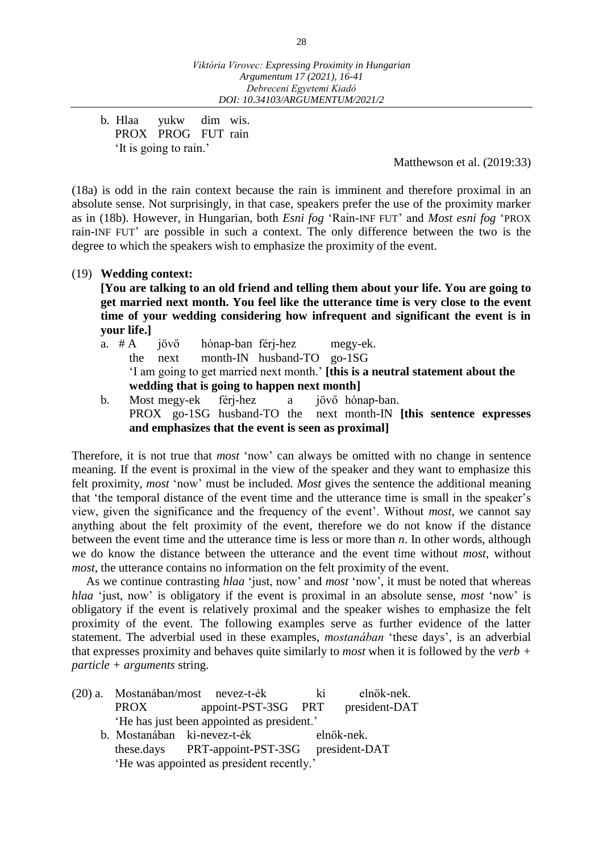b. Hlaa yukw dim wis. PROX PROG FUT rain 'It is going to rain.'

Matthewson et al. (2019:33)

(18a) is odd in the rain context because the rain is imminent and therefore proximal in an absolute sense. Not surprisingly, in that case, speakers prefer the use of the proximity marker as in (18b). However, in Hungarian, both *Esni fog* 'Rain-INF FUT' and *Most esni fog* 'PROX rain-INF FUT' are possible in such a context. The only difference between the two is the degree to which the speakers wish to emphasize the proximity of the event.

#### (19) **Wedding context:**

**[You are talking to an old friend and telling them about your life. You are going to get married next month. You feel like the utterance time is very close to the event time of your wedding considering how infrequent and significant the event is in your life.]**

- a. # A jövő hónap-ban férj-hez megy-ek. the next month-IN husband-TO go-1SG 'I am going to get married next month.' **[this is a neutral statement about the wedding that is going to happen next month]**
- b. Most megy-ek férj-hez a jövő hónap-ban. PROX go-1SG husband-TO the next month-IN **[this sentence expresses and emphasizes that the event is seen as proximal]**

Therefore, it is not true that *most* 'now' can always be omitted with no change in sentence meaning. If the event is proximal in the view of the speaker and they want to emphasize this felt proximity, *most* 'now' must be included*. Most* gives the sentence the additional meaning that 'the temporal distance of the event time and the utterance time is small in the speaker's view, given the significance and the frequency of the event'. Without *most*, we cannot say anything about the felt proximity of the event, therefore we do not know if the distance between the event time and the utterance time is less or more than *n*. In other words, although we do know the distance between the utterance and the event time without *most*, without *most*, the utterance contains no information on the felt proximity of the event.

As we continue contrasting *hlaa* 'just, now' and *most* 'now', it must be noted that whereas *hlaa* 'just, now' is obligatory if the event is proximal in an absolute sense, *most* 'now' is obligatory if the event is relatively proximal and the speaker wishes to emphasize the felt proximity of the event. The following examples serve as further evidence of the latter statement. The adverbial used in these examples, *mostanában* 'these days', is an adverbial that expresses proximity and behaves quite similarly to *most* when it is followed by the *verb + particle + arguments* string.

(20) a. Mostanában/most nevez-t-ék ki elnök-nek. PROX appoint-PST-3SG PRT president-DAT 'He has just been appointed as president.' b. Mostanában ki-nevez-t-ék elnök-nek. these.days PRT-appoint-PST-3SG president-DAT 'He was appointed as president recently.'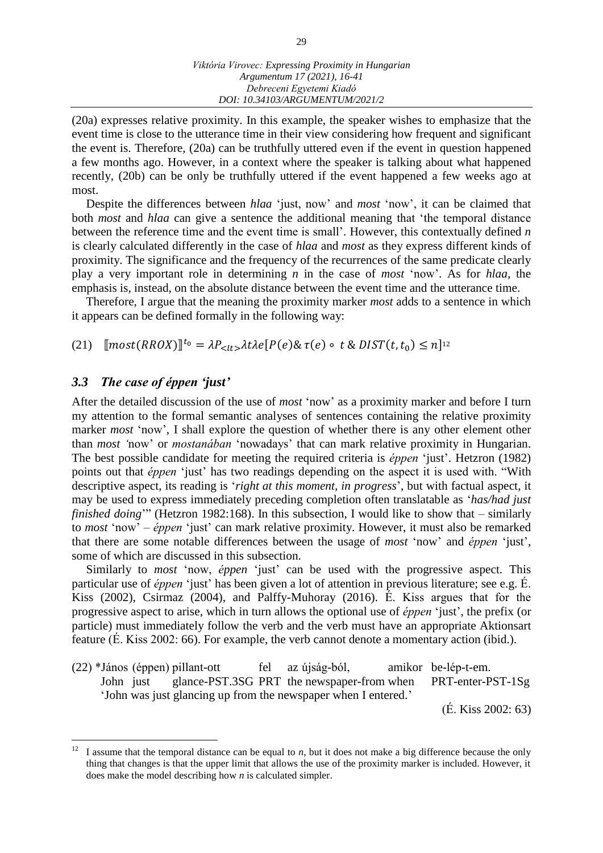(20a) expresses relative proximity. In this example, the speaker wishes to emphasize that the event time is close to the utterance time in their view considering how frequent and significant the event is. Therefore, (20a) can be truthfully uttered even if the event in question happened a few months ago. However, in a context where the speaker is talking about what happened recently, (20b) can be only be truthfully uttered if the event happened a few weeks ago at most.

Despite the differences between *hlaa* 'just, now' and *most* 'now', it can be claimed that both *most* and *hlaa* can give a sentence the additional meaning that 'the temporal distance between the reference time and the event time is small'. However, this contextually defined *n*  is clearly calculated differently in the case of *hlaa* and *most* as they express different kinds of proximity. The significance and the frequency of the recurrences of the same predicate clearly play a very important role in determining *n* in the case of *most* 'now'. As for *hlaa*, the emphasis is, instead, on the absolute distance between the event time and the utterance time.

Therefore, I argue that the meaning the proximity marker *most* adds to a sentence in which it appears can be defined formally in the following way:

(21)  $[\text{most}(RROX)]^{t_0} = \lambda P_{} \lambda t \lambda e[P(e) \& \tau(e) \circ t \& DIST(t, t_0) \leq n]^{12}$ 

#### *3.3 The case of éppen 'just'*

After the detailed discussion of the use of *most* 'now' as a proximity marker and before I turn my attention to the formal semantic analyses of sentences containing the relative proximity marker *most* 'now'. I shall explore the question of whether there is any other element other than *most '*now' or *mostanában* 'nowadays' that can mark relative proximity in Hungarian. The best possible candidate for meeting the required criteria is *éppen* 'just'. Hetzron (1982) points out that *éppen* 'just' has two readings depending on the aspect it is used with. "With descriptive aspect, its reading is '*right at this moment, in progress*', but with factual aspect, it may be used to express immediately preceding completion often translatable as '*has/had just finished doing*'" (Hetzron 1982:168). In this subsection, I would like to show that – similarly to *most* 'now' – *éppen* 'just' can mark relative proximity. However, it must also be remarked that there are some notable differences between the usage of *most* 'now' and *éppen* 'just', some of which are discussed in this subsection.

Similarly to *most* 'now, *éppen* 'just' can be used with the progressive aspect. This particular use of *éppen* 'just' has been given a lot of attention in previous literature; see e.g. É. Kiss (2002), Csirmaz (2004), and Palffy-Muhoray (2016). É. Kiss argues that for the progressive aspect to arise, which in turn allows the optional use of *éppen* 'just', the prefix (or particle) must immediately follow the verb and the verb must have an appropriate Aktionsart feature (É. Kiss 2002: 66). For example, the verb cannot denote a momentary action (ibid.).

(22) \*János (éppen) pillant-ott fel az újság-ból, amikor be-lép-t-em. John just glance-PST.3SG PRT the newspaper-from when PRT-enter-PST-1Sg 'John was just glancing up from the newspaper when I entered.' (É. Kiss 2002: 63)

 $12\,$ <sup>12</sup> I assume that the temporal distance can be equal to *n*, but it does not make a big difference because the only thing that changes is that the upper limit that allows the use of the proximity marker is included. However, it does make the model describing how *n* is calculated simpler.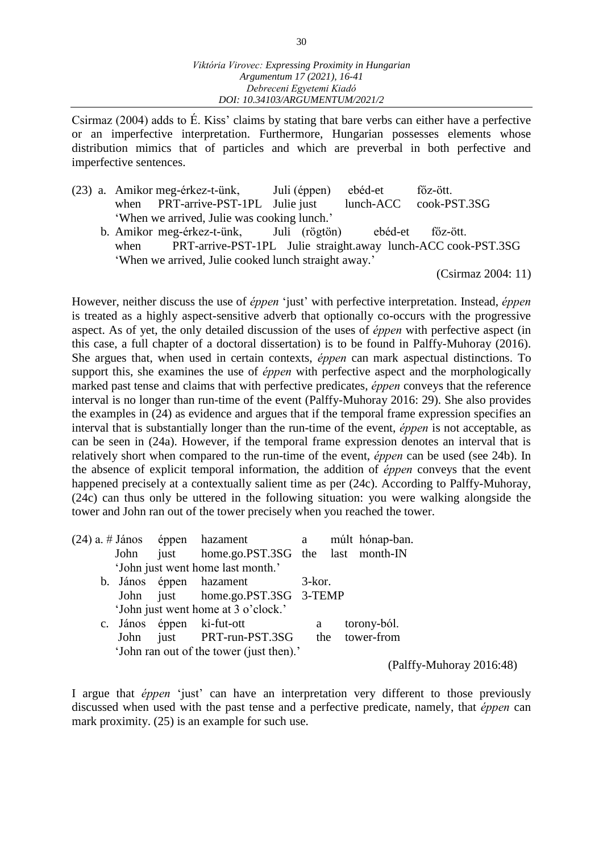Csirmaz (2004) adds to É. Kiss' claims by stating that bare verbs can either have a perfective or an imperfective interpretation. Furthermore, Hungarian possesses elements whose distribution mimics that of particles and which are preverbal in both perfective and imperfective sentences.

- (23) a. Amikor meg-érkez-t-ünk, Juli (éppen) ebéd-et főz-ött. when PRT-arrive-PST-1PL Julie just lunch-ACC cook-PST.3SG 'When we arrived, Julie was cooking lunch.'
	- b. Amikor meg-érkez-t-ünk, Juli (rögtön) ebéd-et főz-ött. when PRT-arrive-PST-1PL Julie straight.away lunch-ACC cook-PST.3SG 'When we arrived, Julie cooked lunch straight away.'

(Csirmaz 2004: 11)

However, neither discuss the use of *éppen* 'just' with perfective interpretation. Instead, *éppen*  is treated as a highly aspect-sensitive adverb that optionally co-occurs with the progressive aspect. As of yet, the only detailed discussion of the uses of *éppen* with perfective aspect (in this case, a full chapter of a doctoral dissertation) is to be found in Palffy-Muhoray (2016). She argues that, when used in certain contexts, *éppen* can mark aspectual distinctions. To support this, she examines the use of *éppen* with perfective aspect and the morphologically marked past tense and claims that with perfective predicates, *éppen* conveys that the reference interval is no longer than run-time of the event (Palffy-Muhoray 2016: 29). She also provides the examples in (24) as evidence and argues that if the temporal frame expression specifies an interval that is substantially longer than the run-time of the event, *éppen* is not acceptable, as can be seen in (24a). However, if the temporal frame expression denotes an interval that is relatively short when compared to the run-time of the event, *éppen* can be used (see 24b). In the absence of explicit temporal information, the addition of *éppen* conveys that the event happened precisely at a contextually salient time as per (24c). According to Palffy-Muhoray, (24c) can thus only be uttered in the following situation: you were walking alongside the tower and John ran out of the tower precisely when you reached the tower.

|      | $(24)$ a. # János éppen hazament a múlt hónap-ban. |        |                          |
|------|----------------------------------------------------|--------|--------------------------|
|      | John just home.go.PST.3SG the last month-IN        |        |                          |
|      | 'John just went home last month.'                  |        |                          |
|      | b. János éppen hazament                            | 3-kor. |                          |
| John | just home.go.PST.3SG 3-TEMP                        |        |                          |
|      | 'John just went home at 3 o'clock.'                |        |                          |
|      | c. János éppen ki-fut-ott                          | a      | torony-ból.              |
| John | just PRT-run-PST.3SG                               | the    | tower-from               |
|      | 'John ran out of the tower (just then).'           |        |                          |
|      |                                                    |        | (Palffy-Muhoray 2016:48) |

I argue that *éppen* 'just' can have an interpretation very different to those previously discussed when used with the past tense and a perfective predicate, namely, that *éppen* can mark proximity. (25) is an example for such use.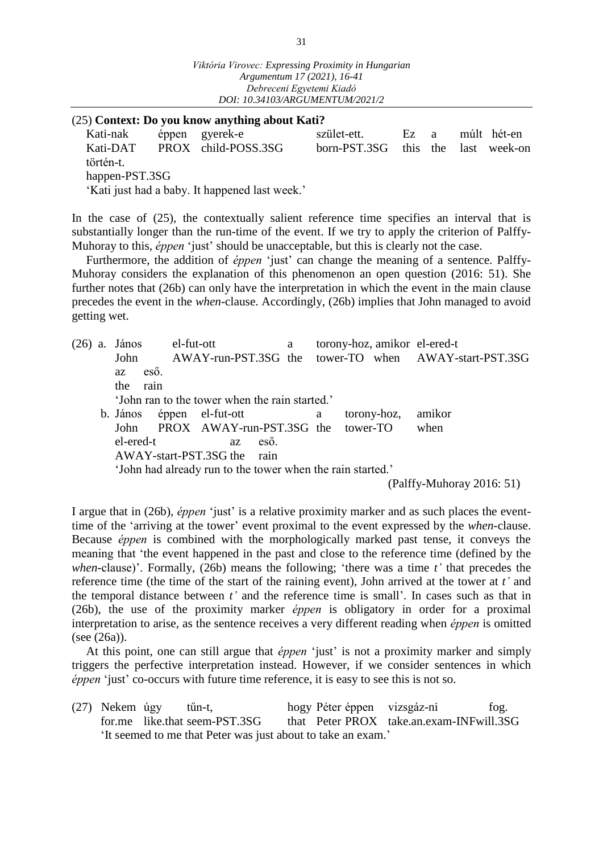#### (25) **Context: Do you know anything about Kati?**

| Kati-nak       | éppen gyerek-e                                 | szület-ett.    | Ez a |               | múlt hét-en |
|----------------|------------------------------------------------|----------------|------|---------------|-------------|
| Kati-DAT       | PROX child-POSS.3SG                            | $born-PST.3SG$ |      | this the last | week-on     |
| történ-t.      |                                                |                |      |               |             |
| happen-PST.3SG |                                                |                |      |               |             |
|                | 'Kati just had a baby. It happened last week.' |                |      |               |             |

In the case of (25), the contextually salient reference time specifies an interval that is substantially longer than the run-time of the event. If we try to apply the criterion of Palffy-Muhoray to this, *éppen* 'just' should be unacceptable, but this is clearly not the case.

Furthermore, the addition of *éppen* 'just' can change the meaning of a sentence. Palffy-Muhoray considers the explanation of this phenomenon an open question (2016: 51). She further notes that (26b) can only have the interpretation in which the event in the main clause precedes the event in the *when*-clause. Accordingly, (26b) implies that John managed to avoid getting wet.

(26) a. János el-fut-ott a torony-hoz, amikor el-ered-t John AWAY-run-PST.3SG the tower-TO when AWAY-start-PST.3SG az eső. the rain 'John ran to the tower when the rain started.' b. János éppen el-fut-ott a torony-hoz, amikor John PROX AWAY-run-PST.3SG the tower-TO when el-ered-t az eső. AWAY-start-PST.3SG the rain 'John had already run to the tower when the rain started.' (Palffy-Muhoray 2016: 51)

I argue that in (26b), *éppen* 'just' is a relative proximity marker and as such places the eventtime of the 'arriving at the tower' event proximal to the event expressed by the *when*-clause. Because *éppen* is combined with the morphologically marked past tense, it conveys the meaning that 'the event happened in the past and close to the reference time (defined by the *when*-clause)'. Formally, (26b) means the following; 'there was a time *t'* that precedes the reference time (the time of the start of the raining event), John arrived at the tower at *t'* and the temporal distance between *t'* and the reference time is small'. In cases such as that in (26b), the use of the proximity marker *éppen* is obligatory in order for a proximal interpretation to arise, as the sentence receives a very different reading when *éppen* is omitted (see (26a)).

At this point, one can still argue that *éppen* 'just' is not a proximity marker and simply triggers the perfective interpretation instead. However, if we consider sentences in which *éppen* 'just' co-occurs with future time reference, it is easy to see this is not so.

(27) Nekem úgy tűn-t, hogy Péter éppen vizsgáz-ni fog. for.me like.that seem-PST.3SG that Peter PROX take.an.exam-INFwill.3SG 'It seemed to me that Peter was just about to take an exam.'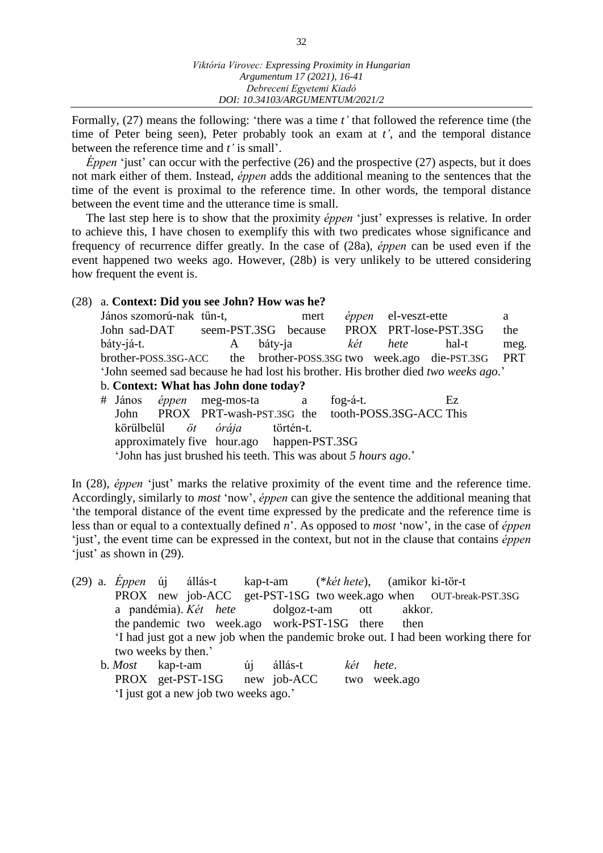Formally, (27) means the following: 'there was a time *t'* that followed the reference time (the time of Peter being seen), Peter probably took an exam at *t'*, and the temporal distance between the reference time and *t'* is small'.

*Éppen* 'just' can occur with the perfective (26) and the prospective (27) aspects, but it does not mark either of them. Instead, *éppen* adds the additional meaning to the sentences that the time of the event is proximal to the reference time. In other words, the temporal distance between the event time and the utterance time is small.

The last step here is to show that the proximity *éppen* 'just' expresses is relative. In order to achieve this, I have chosen to exemplify this with two predicates whose significance and frequency of recurrence differ greatly. In the case of (28a), *éppen* can be used even if the event happened two weeks ago. However, (28b) is very unlikely to be uttered considering how frequent the event is.

#### (28) a. **Context: Did you see John? How was he?**

János szomorú-nak tűn-t, mert *éppen* el-veszt-ette a John sad-DAT seem-PST.3SG because PROX PRT-lose-PST.3SG the báty-já-t. A báty-ja *két hete* hal-t meg. brother-POSS.3SG-ACC the brother-POSS.3SG two week.ago die-PST.3SG PRT 'John seemed sad because he had lost his brother. His brother died *two weeks ago*.' b. **Context: What has John done today?**

# János *éppen* meg-mos-ta a fog-á-t. Ez John PROX PRT-wash-PST.3SG the tooth-POSS.3SG-ACC This körülbelül *öt órája* történ-t. approximately five hour.ago happen-PST.3SG 'John has just brushed his teeth. This was about *5 hours ago*.'

In (28), *éppen* 'just' marks the relative proximity of the event time and the reference time. Accordingly, similarly to *most* 'now', *éppen* can give the sentence the additional meaning that 'the temporal distance of the event time expressed by the predicate and the reference time is less than or equal to a contextually defined *n*'. As opposed to *most* 'now', in the case of *éppen* 'just', the event time can be expressed in the context, but not in the clause that contains *éppen*  'just' as shown in (29).

|  |                     |  |  | (29) a. Eppen új állás-t kap-t-am (*két hete), (amikor ki-tör-t |  |  |                                                                                     |
|--|---------------------|--|--|-----------------------------------------------------------------|--|--|-------------------------------------------------------------------------------------|
|  |                     |  |  |                                                                 |  |  | PROX new job-ACC get-PST-1SG two week.ago when OUT-break-PST.3SG                    |
|  |                     |  |  | a pandémia). Két hete dolgoz-t-am ott akkor.                    |  |  |                                                                                     |
|  |                     |  |  | the pandemic two week.ago work-PST-1SG there then               |  |  |                                                                                     |
|  |                     |  |  |                                                                 |  |  | If had just got a new job when the pandemic broke out. I had been working there for |
|  | two weeks by then.' |  |  |                                                                 |  |  |                                                                                     |
|  |                     |  |  | b. Most kap-t-am új állás-t két hete.                           |  |  |                                                                                     |

| D. <i>MOSI</i> Kap-t-am |                                       | ui alias-t  | кеі пете.    |
|-------------------------|---------------------------------------|-------------|--------------|
|                         | PROX get-PST-1SG                      | new job-ACC | two week.ago |
|                         | 'I just got a new job two weeks ago.' |             |              |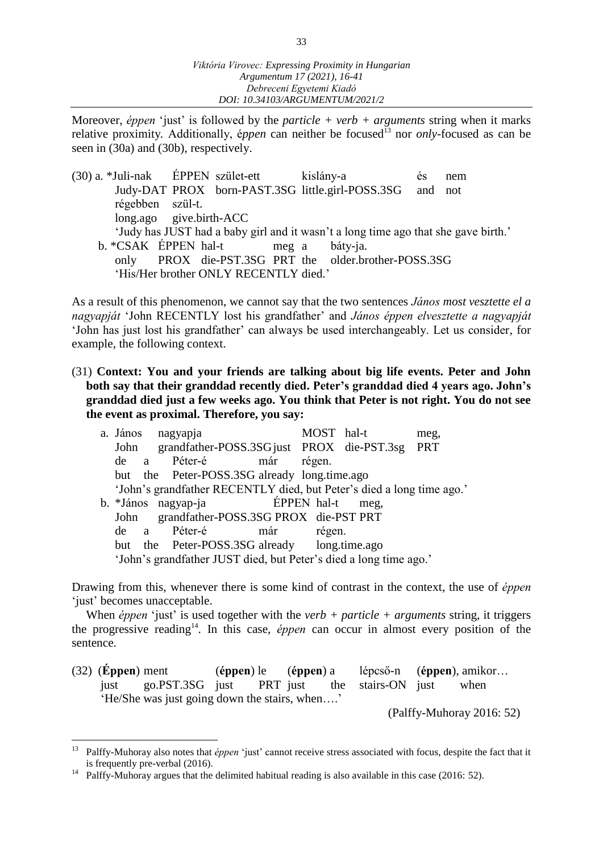Moreover, *éppen* 'just' is followed by the *particle* + *verb* + *arguments* string when it marks relative proximity. Additionally, *éppen* can neither be focused<sup>13</sup> nor *only*-focused as can be seen in (30a) and (30b), respectively.

(30) a. \*Juli-nak ÉPPEN szület-ett kislány-a és nem Judy-DAT PROX born-PAST.3SG little.girl-POSS.3SG and not régebben szül-t. long.ago give.birth-ACC 'Judy has JUST had a baby girl and it wasn't a long time ago that she gave birth.' b. \*CSAK ÉPPEN hal-t meg a báty-ja. only PROX die-PST.3SG PRT the older.brother-POSS.3SG 'His/Her brother ONLY RECENTLY died.'

As a result of this phenomenon, we cannot say that the two sentences *János most vesztette el a nagyapját* 'John RECENTLY lost his grandfather' and *János éppen elvesztette a nagyapját* 'John has just lost his grandfather' can always be used interchangeably. Let us consider, for example, the following context.

(31) **Context: You and your friends are talking about big life events. Peter and John both say that their granddad recently died. Peter's granddad died 4 years ago. John's granddad died just a few weeks ago. You think that Peter is not right. You do not see the event as proximal. Therefore, you say:**

|      |  | a. János nagyapja                                                     |     | MOST hal-t  |      | meg, |
|------|--|-----------------------------------------------------------------------|-----|-------------|------|------|
| John |  | grandfather-POSS.3SG just PROX die-PST.3sg PRT                        |     |             |      |      |
| de a |  | Péter-é                                                               | már | régen.      |      |      |
|      |  | but the Peter-POSS.3SG already long.time.ago                          |     |             |      |      |
|      |  | 'John's grandfather RECENTLY died, but Peter's died a long time ago.' |     |             |      |      |
|      |  | b. *János nagyap-ja                                                   |     | ÉPPEN hal-t | meg, |      |
| John |  | grandfather-POSS.3SG PROX die-PST PRT                                 |     |             |      |      |
| de a |  | Péter-é                                                               | már | régen.      |      |      |
| but  |  | the Peter-POSS.3SG already long.time.ago                              |     |             |      |      |
|      |  | 'John's grandfather JUST died, but Peter's died a long time ago.'     |     |             |      |      |

Drawing from this, whenever there is some kind of contrast in the context, the use of *éppen* 'just' becomes unacceptable.

When *éppen* 'just' is used together with the *verb* + *particle* + *arguments* string, it triggers the progressive reading<sup>14</sup>. In this case, *éppen* can occur in almost every position of the sentence.

(32) (**Éppen**) ment (**éppen**) le (**éppen**) a lépcső-n (**éppen**), amikor… just go.PST.3SG just PRT just the stairs-ON just when 'He/She was just going down the stairs, when….'

(Palffy-Muhoray 2016: 52)

 $\overline{a}$ 

<sup>&</sup>lt;sup>13</sup> Palffy-Muhoray also notes that *éppen* 'just' cannot receive stress associated with focus, despite the fact that it is frequently pre-verbal (2016).

<sup>&</sup>lt;sup>14</sup> Palffy-Muhoray argues that the delimited habitual reading is also available in this case (2016: 52).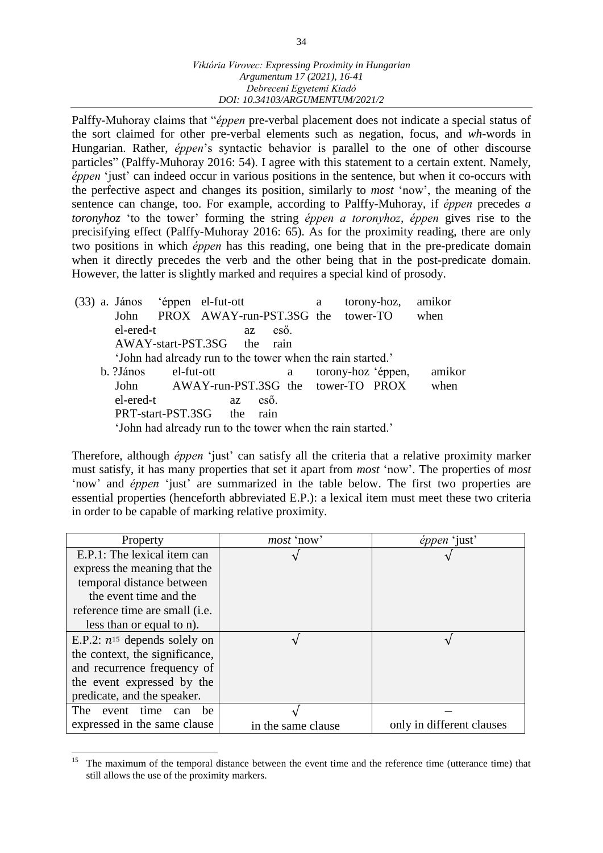Palffy-Muhoray claims that "*éppen* pre-verbal placement does not indicate a special status of the sort claimed for other pre-verbal elements such as negation, focus, and *wh*-words in Hungarian. Rather, *éppen*'s syntactic behavior is parallel to the one of other discourse particles" (Palffy-Muhoray 2016: 54). I agree with this statement to a certain extent. Namely, *éppen* 'just' can indeed occur in various positions in the sentence, but when it co-occurs with the perfective aspect and changes its position, similarly to *most* 'now', the meaning of the sentence can change, too. For example, according to Palffy-Muhoray, if *éppen* precedes *a toronyhoz* 'to the tower' forming the string *éppen a toronyhoz, éppen* gives rise to the precisifying effect (Palffy-Muhoray 2016: 65). As for the proximity reading, there are only two positions in which *éppen* has this reading, one being that in the pre-predicate domain when it directly precedes the verb and the other being that in the post-predicate domain. However, the latter is slightly marked and requires a special kind of prosody.

|  | (33) a. János éppen el-fut-ott                             |                                    |           |    |      |   | a | torony-hoz,        | amikor |
|--|------------------------------------------------------------|------------------------------------|-----------|----|------|---|---|--------------------|--------|
|  | John                                                       | PROX AWAY-run-PST.3SG the tower-TO |           |    |      |   |   |                    | when   |
|  | el-ered-t                                                  |                                    |           | az | eső. |   |   |                    |        |
|  | AWAY-start-PST.3SG the rain                                |                                    |           |    |      |   |   |                    |        |
|  | 'John had already run to the tower when the rain started.' |                                    |           |    |      |   |   |                    |        |
|  | b. ?János                                                  | el-fut-ott                         |           |    |      | a |   | torony-hoz 'éppen, | amikor |
|  | John AWAY-run-PST.3SG the tower-TO PROX                    |                                    |           |    |      |   |   |                    | when   |
|  | el-ered-t                                                  |                                    | <b>az</b> |    | eső. |   |   |                    |        |
|  | PRT-start-PST.3SG the                                      |                                    |           |    | rain |   |   |                    |        |
|  | 'John had already run to the tower when the rain started.' |                                    |           |    |      |   |   |                    |        |

Therefore, although *éppen* 'just' can satisfy all the criteria that a relative proximity marker must satisfy, it has many properties that set it apart from *most* 'now'. The properties of *most* 'now' and *éppen* 'just' are summarized in the table below. The first two properties are essential properties (henceforth abbreviated E.P.): a lexical item must meet these two criteria in order to be capable of marking relative proximity.

| Property                          | <i>most</i> 'now'  | éppen 'just'              |
|-----------------------------------|--------------------|---------------------------|
| E.P.1: The lexical item can       |                    |                           |
| express the meaning that the      |                    |                           |
| temporal distance between         |                    |                           |
| the event time and the            |                    |                           |
| reference time are small (i.e.    |                    |                           |
| less than or equal to n).         |                    |                           |
| E.P.2: $n^{15}$ depends solely on |                    |                           |
| the context, the significance,    |                    |                           |
| and recurrence frequency of       |                    |                           |
| the event expressed by the        |                    |                           |
| predicate, and the speaker.       |                    |                           |
| event time can<br>The<br>be       |                    |                           |
| expressed in the same clause      | in the same clause | only in different clauses |

 $\overline{a}$ <sup>15</sup> The maximum of the temporal distance between the event time and the reference time (utterance time) that still allows the use of the proximity markers.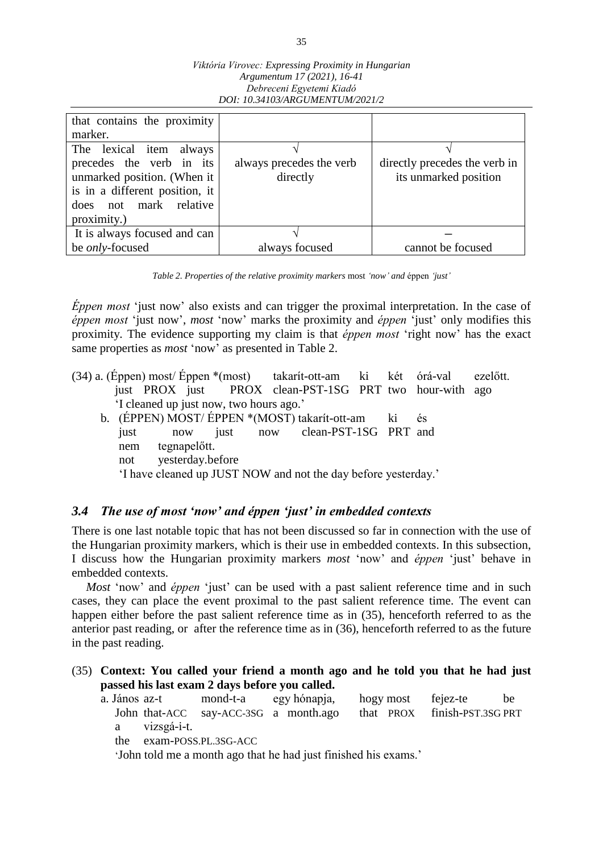| Viktória Virovec: Expressing Proximity in Hungarian |
|-----------------------------------------------------|
| Argumentum 17 (2021), 16-41                         |
| Debreceni Egyetemi Kiadó                            |
| DOI: 10.34103/ARGUMENTUM/2021/2                     |

| that contains the proximity    |                          |                               |
|--------------------------------|--------------------------|-------------------------------|
| marker.                        |                          |                               |
| The lexical item always        |                          |                               |
| precedes the verb in its       | always precedes the verb | directly precedes the verb in |
| unmarked position. (When it    | directly                 | its unmarked position         |
| is in a different position, it |                          |                               |
| does not mark relative         |                          |                               |
| proximity.)                    |                          |                               |
| It is always focused and can   |                          |                               |
| be <i>only</i> -focused        | always focused           | cannot be focused             |

*Table 2. Properties of the relative proximity markers* most *'now' and* éppen *'just'*

*Éppen most* 'just now' also exists and can trigger the proximal interpretation. In the case of *éppen most* 'just now', *most* 'now' marks the proximity and *éppen* 'just' only modifies this proximity. The evidence supporting my claim is that *éppen most* 'right now' has the exact same properties as *most* 'now' as presented in Table 2.

- (34) a. (Éppen) most/ Éppen \*(most) takarít-ott-am ki két órá-val ezelőtt. just PROX just PROX clean-PST-1SG PRT two hour-with ago 'I cleaned up just now, two hours ago.'
	- b. (ÉPPEN) MOST/ ÉPPEN \*(MOST) takarít-ott-am ki és just now just now clean-PST-1SG PRT and nem tegnapelőtt. not yesterday.before 'I have cleaned up JUST NOW and not the day before yesterday.'

# *3.4 The use of most 'now' and éppen 'just' in embedded contexts*

There is one last notable topic that has not been discussed so far in connection with the use of the Hungarian proximity markers, which is their use in embedded contexts. In this subsection, I discuss how the Hungarian proximity markers *most* 'now' and *éppen* 'just' behave in embedded contexts.

*Most* 'now' and *éppen* 'just' can be used with a past salient reference time and in such cases, they can place the event proximal to the past salient reference time. The event can happen either before the past salient reference time as in (35), henceforth referred to as the anterior past reading, or after the reference time as in (36), henceforth referred to as the future in the past reading.

(35) **Context: You called your friend a month ago and he told you that he had just passed his last exam 2 days before you called.**

| a. János az-t |               |  | mond-t-a egy hónapja, hogy most fejez-te                           |  | be |
|---------------|---------------|--|--------------------------------------------------------------------|--|----|
|               |               |  | John that-ACC say-ACC-3SG a month.ago that PROX finish-PST.3SG PRT |  |    |
|               | a vizsgá-i-t. |  |                                                                    |  |    |

the exam-POSS.PL.3SG-ACC

'John told me a month ago that he had just finished his exams.'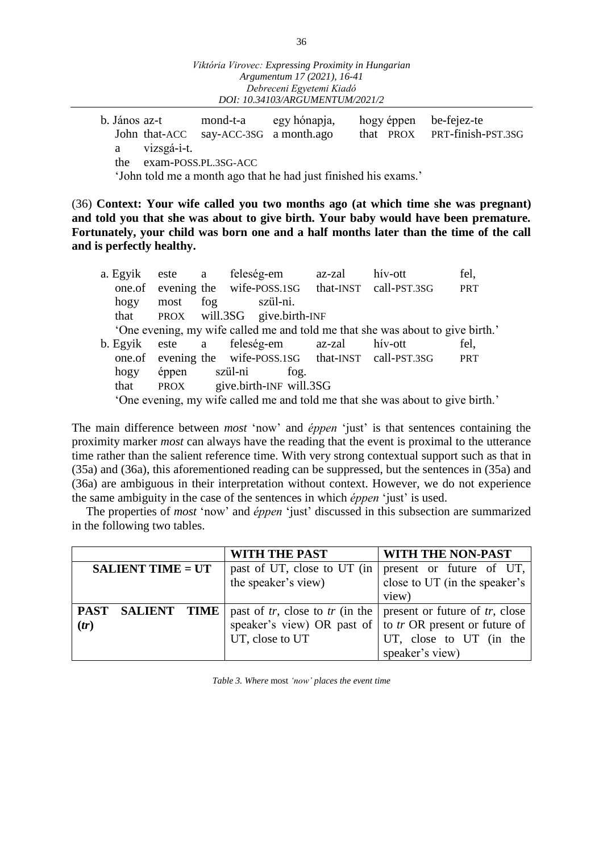|  |               | 0. Janos az-t 1110nd-t-a egy honapja, |                                                                 |  | $\log y$ eppen $\log$ -rejez-le |
|--|---------------|---------------------------------------|-----------------------------------------------------------------|--|---------------------------------|
|  |               | John that-ACC say-ACC-3SG a month.ago |                                                                 |  | that PROX PRT-finish-PST.3SG    |
|  | a vizsgá-i-t. |                                       |                                                                 |  |                                 |
|  |               | the exam-POSS.PL.3SG-ACC              |                                                                 |  |                                 |
|  |               |                                       | (Lake told me a manth ago that he had just finished his avenue) |  |                                 |

'John told me a month ago that he had just finished his exams.'

(36) **Context: Your wife called you two months ago (at which time she was pregnant) and told you that she was about to give birth. Your baby would have been premature. Fortunately, your child was born one and a half months later than the time of the call and is perfectly healthy.**

| a. Egyik |               |     | este a feleség-em                                       | az-zal | hív-ott                                                                        | fel,       |
|----------|---------------|-----|---------------------------------------------------------|--------|--------------------------------------------------------------------------------|------------|
|          |               |     | one.of evening the wife-POSS.1SG that-INST call-PST.3SG |        |                                                                                | <b>PRT</b> |
| hogy     | most          | fog | szül-ni.                                                |        |                                                                                |            |
| that     |               |     | PROX will.3SG give.birth-INF                            |        |                                                                                |            |
|          |               |     |                                                         |        | 'One evening, my wife called me and told me that she was about to give birth.' |            |
| b. Egyik |               |     | este a feleség-em az-zal                                |        | hív-ott                                                                        | fel,       |
|          |               |     | one.of evening the wife-POSS.1SG that-INST call-PST.3SG |        |                                                                                | <b>PRT</b> |
| hogy     | éppen szül-ni |     | fog.                                                    |        |                                                                                |            |
| that     |               |     | PROX give.birth-INF will.3SG                            |        |                                                                                |            |
|          |               |     |                                                         |        | 'One evening, my wife called me and told me that she was about to give birth.' |            |

The main difference between *most* 'now' and *éppen* 'just' is that sentences containing the proximity marker *most* can always have the reading that the event is proximal to the utterance time rather than the salient reference time. With very strong contextual support such as that in (35a) and (36a), this aforementioned reading can be suppressed, but the sentences in (35a) and (36a) are ambiguous in their interpretation without context. However, we do not experience the same ambiguity in the case of the sentences in which *éppen* 'just' is used.

The properties of *most* 'now' and *éppen* 'just' discussed in this subsection are summarized in the following two tables.

|                          |              |             | WITH THE PAST                                                    | WITH THE NON-PAST             |
|--------------------------|--------------|-------------|------------------------------------------------------------------|-------------------------------|
| <b>SALIENT TIME = UT</b> |              |             | past of UT, close to UT (in                                      | present or future of UT,      |
|                          |              |             | the speaker's view)                                              | close to UT (in the speaker's |
|                          |              |             |                                                                  | view)                         |
|                          | PAST SALIENT | <b>TIME</b> | past of tr, close to tr (in the   present or future of tr, close |                               |
| (tr)                     |              |             | speaker's view) OR past of                                       | to tr OR present or future of |
|                          |              |             | UT, close to UT                                                  | UT, close to UT (in the       |
|                          |              |             |                                                                  | speaker's view)               |

*Table 3. Where* most *'now' places the event time*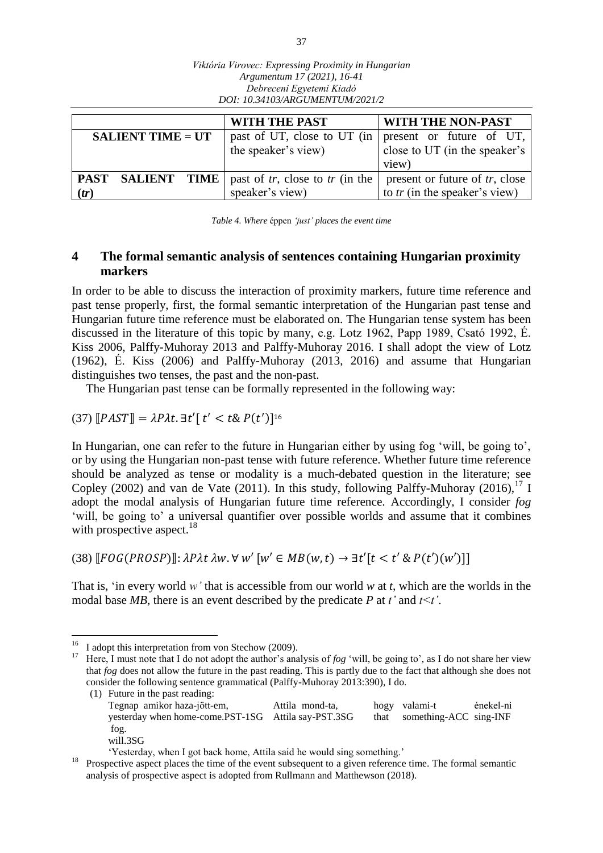|                                           | <i>Viktoria Virovec: Expressing Proximity in Hungarian</i><br>Argumentum 17 (2021), 16-41<br>Debreceni Egyetemi Kiadó<br>DOI: 10.34103/ARGUMENTUM/2021/2 |                                                                    |  |  |  |  |
|-------------------------------------------|----------------------------------------------------------------------------------------------------------------------------------------------------------|--------------------------------------------------------------------|--|--|--|--|
| WITH THE PAST<br><b>WITH THE NON-PAST</b> |                                                                                                                                                          |                                                                    |  |  |  |  |
| <b>SALIENT TIME = UT</b>                  | past of UT, close to UT (in<br>the speaker's view)                                                                                                       | present or future of UT,<br>close to UT (in the speaker's<br>view) |  |  |  |  |
| PAST SALIENT<br>TIME<br>(tr)              | past of tr, close to tr (in the<br>speaker's view)                                                                                                       | present or future of tr, close<br>to $tr$ (in the speaker's view)  |  |  |  |  |

*Viktória Virovec: Expressing Proximity in Hungarian*

*Table 4. Where* éppen *'just' places the event time*

# **4 The formal semantic analysis of sentences containing Hungarian proximity markers**

In order to be able to discuss the interaction of proximity markers, future time reference and past tense properly, first, the formal semantic interpretation of the Hungarian past tense and Hungarian future time reference must be elaborated on. The Hungarian tense system has been discussed in the literature of this topic by many, e.g. Lotz 1962, Papp 1989, Csató 1992, É. Kiss 2006, Palffy-Muhoray 2013 and Palffy-Muhoray 2016. I shall adopt the view of Lotz (1962), É. Kiss (2006) and Palffy-Muhoray (2013, 2016) and assume that Hungarian distinguishes two tenses, the past and the non-past.

The Hungarian past tense can be formally represented in the following way:

(37)  $\llbracket PAST \rrbracket = \lambda P \lambda t. \exists t' \llbracket t' < t \& P(t') \rrbracket^{16}$ 

In Hungarian, one can refer to the future in Hungarian either by using fog 'will, be going to', or by using the Hungarian non-past tense with future reference. Whether future time reference should be analyzed as tense or modality is a much-debated question in the literature; see Copley (2002) and van de Vate (2011). In this study, following Palffy-Muhoray (2016),  $^{17}$  I adopt the modal analysis of Hungarian future time reference. Accordingly, I consider *fog* 'will, be going to' a universal quantifier over possible worlds and assume that it combines with prospective aspect.<sup>18</sup>

(38)  $\lbrack FOG(PROSP) \rbrack$ :  $\lambda P \lambda t \lambda w \cdot \forall w' \lbrack w' \in MB(w,t) \rightarrow \exists t' \lbrack t < t' \& P(t')(w') \rbrack$ 

That is, 'in every world *w'* that is accessible from our world *w* at *t*, which are the worlds in the modal base *MB*, there is an event described by the predicate *P* at *t'* and  $t \le t'$ .

 $16$ <sup>16</sup> I adopt this interpretation from von Stechow (2009).<br><sup>17</sup> Here I must note that I do not adopt the author's ana

<sup>17</sup> Here, I must note that I do not adopt the author's analysis of *fog* 'will, be going to', as I do not share her view that *fog* does not allow the future in the past reading. This is partly due to the fact that although she does not consider the following sentence grammatical (Palffy-Muhoray 2013:390), I do.

<sup>(1)</sup> Future in the past reading: Tegnap amikor haza-jött-em, Attila mond-ta, hogy valami-t énekel-ni yesterday when home-come.PST-1SG Attila say-PST.3SG that something-ACC sing-INF fog. will.3SG

<sup>&#</sup>x27;Yesterday, when I got back home, Attila said he would sing something.'

<sup>&</sup>lt;sup>18</sup> Prospective aspect places the time of the event subsequent to a given reference time. The formal semantic analysis of prospective aspect is adopted from Rullmann and Matthewson (2018).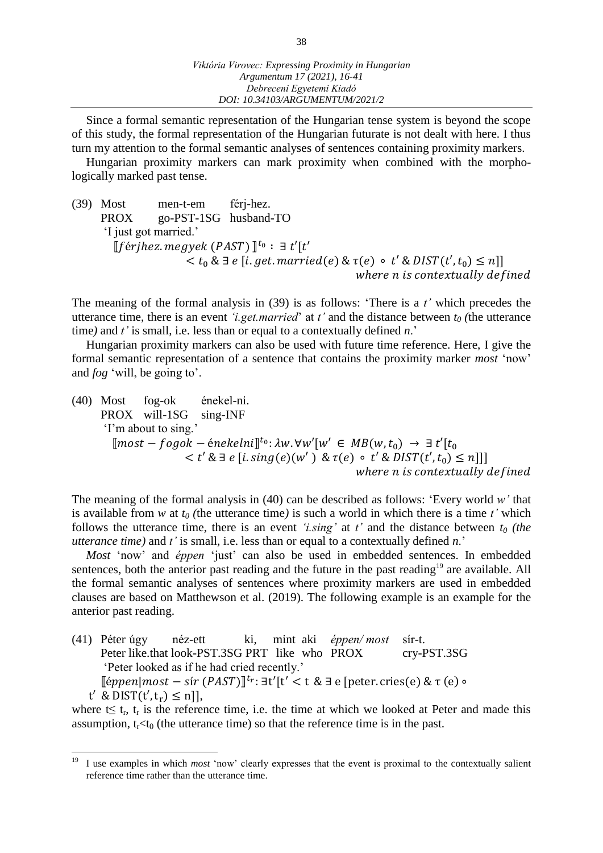Since a formal semantic representation of the Hungarian tense system is beyond the scope of this study, the formal representation of the Hungarian futurate is not dealt with here. I thus turn my attention to the formal semantic analyses of sentences containing proximity markers.

Hungarian proximity markers can mark proximity when combined with the morphologically marked past tense.

(39) Most men-t-em férj-hez. PROX go-PST-1SG husband-TO 'I just got married.'  $[$ [férjhez.megyek (PAST) $]$ <sup>t<sub>o</sub>:  $\exists t'[t']$ </sup>  $< t_0 \& \exists e [i.get.married(e) \& \tau(e) \circ t' \& DIST(t',t_0) \leq n]$ where n is contextually defined

The meaning of the formal analysis in (39) is as follows: 'There is a *t'* which precedes the utterance time, there is an event *'i.get.married*' at *t'* and the distance between *t<sup>0</sup> (*the utterance time*)* and *t'* is small, i.e. less than or equal to a contextually defined *n*.'

Hungarian proximity markers can also be used with future time reference. Here, I give the formal semantic representation of a sentence that contains the proximity marker *most* 'now' and *fog* 'will, be going to'.

(40) Most fog-ok énekel-ni. PROX will-1SG sing-INF 'I'm about to sing.'  $[most-fogok - énekelni]^{t_0}: \lambda w. \forall w'[w' \in MB(w, t_0) \rightarrow \exists t'[t_0$  $< t' \& \exists e [i. sing(e)(w') \& \tau(e) \circ t' \& DIST(t',t_0) \leq n]]$ where n is contextually defined

The meaning of the formal analysis in (40) can be described as follows: 'Every world *w'* that is available from *w* at  $t_0$  (the utterance time) is such a world in which there is a time *t'* which follows the utterance time, there is an event *'i.sing'* at  $t'$  and the distance between  $t_0$  *(the utterance time)* and *t'* is small, i.e. less than or equal to a contextually defined *n*.'

*Most* 'now' and *éppen* 'just' can also be used in embedded sentences. In embedded sentences, both the anterior past reading and the future in the past reading<sup>19</sup> are available. All the formal semantic analyses of sentences where proximity markers are used in embedded clauses are based on Matthewson et al. (2019). The following example is an example for the anterior past reading.

(41) Péter úgy néz-ett ki, mint aki *éppen/ most* sír-t. Peter like.that look-PST.3SG PRT like who PROX cry-PST.3SG 'Peter looked as if he had cried recently.'  $[éppen| most - sir (PAST)]<sup>t</sup>r$ :  $\exists t'[t' < t \& \exists e [peter. crises(e) & \tau(e) \circ$  $t'$  & DIST $(t', t_r) \leq n$ ],

where  $t \leq t_r$ ,  $t_r$  is the reference time, i.e. the time at which we looked at Peter and made this assumption,  $t_f < t_0$  (the utterance time) so that the reference time is in the past.

<sup>19</sup> <sup>19</sup> I use examples in which *most* 'now' clearly expresses that the event is proximal to the contextually salient reference time rather than the utterance time.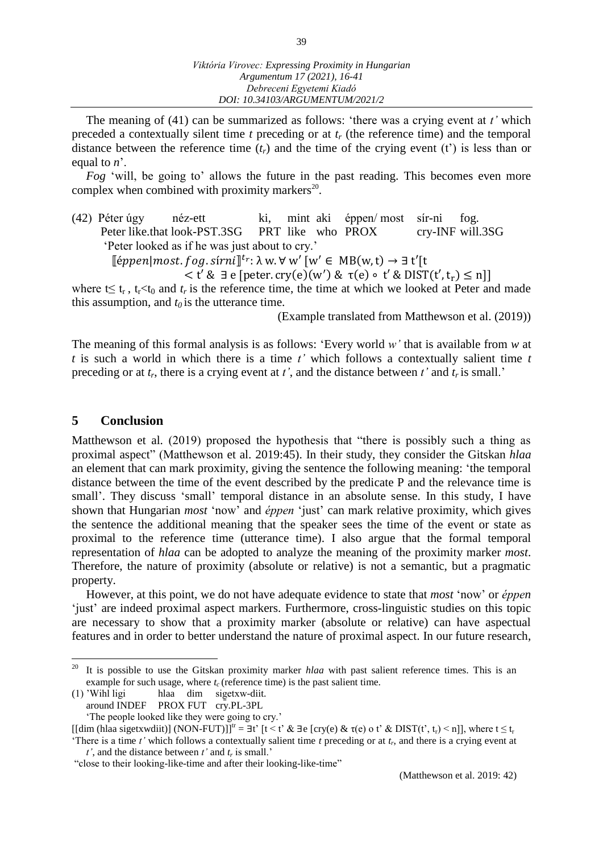The meaning of (41) can be summarized as follows: 'there was a crying event at *t'* which preceded a contextually silent time *t* preceding or at *t<sup>r</sup>* (the reference time) and the temporal distance between the reference time  $(t_r)$  and the time of the crying event  $(t')$  is less than or equal to *n*'.

*Fog* 'will, be going to' allows the future in the past reading. This becomes even more complex when combined with proximity markers<sup>20</sup>.

(42) Péter úgy néz-ett ki, mint aki éppen/ most sír-ni fog. Peter like.that look-PST.3SG PRT like who PROX cry-INF will.3SG 'Peter looked as if he was just about to cry.'

 $[$ éppen|most.fog.sírni $]^{t_r}$ : $\lambda$  w. $\forall$  w'  $[w' \in MB(w,t) \rightarrow \exists t'[t$ 

$$
\langle t' \& \exists e [\text{peter. cry}(e)(w') \& \tau(e) \circ t' \& \text{DIST}(t', t_r) \leq n] \rangle
$$

where  $t \leq t_r$ ,  $t_r < t_0$  and  $t_r$  is the reference time, the time at which we looked at Peter and made this assumption, and  $t_0$  is the utterance time.

(Example translated from Matthewson et al. (2019))

The meaning of this formal analysis is as follows: 'Every world *w'* that is available from *w* at *t* is such a world in which there is a time *t'* which follows a contextually salient time *t* preceding or at  $t_r$ , there is a crying event at  $t'$ , and the distance between  $t'$  and  $t_r$  is small.'

### **5 Conclusion**

Matthewson et al. (2019) proposed the hypothesis that "there is possibly such a thing as proximal aspect" (Matthewson et al. 2019:45). In their study, they consider the Gitskan *hlaa* an element that can mark proximity, giving the sentence the following meaning: 'the temporal distance between the time of the event described by the predicate P and the relevance time is small'. They discuss 'small' temporal distance in an absolute sense. In this study, I have shown that Hungarian *most* 'now' and *éppen* 'just' can mark relative proximity, which gives the sentence the additional meaning that the speaker sees the time of the event or state as proximal to the reference time (utterance time). I also argue that the formal temporal representation of *hlaa* can be adopted to analyze the meaning of the proximity marker *most*. Therefore, the nature of proximity (absolute or relative) is not a semantic, but a pragmatic property.

However, at this point, we do not have adequate evidence to state that *most* 'now' or *éppen* 'just' are indeed proximal aspect markers. Furthermore, cross-linguistic studies on this topic are necessary to show that a proximity marker (absolute or relative) can have aspectual features and in order to better understand the nature of proximal aspect. In our future research,

 $20\,$ <sup>20</sup> It is possible to use the Gitskan proximity marker *hlaa* with past salient reference times. This is an example for such usage, where  $t_c$  (reference time) is the past salient time.<br>(1) 'Wihl ligi hlaa dim sigetx w-diit.

<sup>(1) &#</sup>x27;Wihl ligi hlaa dim sig̱etxw-diit.

around INDEF PROX FUT cry.PL-3PL

<sup>&#</sup>x27;The people looked like they were going to cry.' [[dim (hlaa sigetxwdiit)] (NON-FUT)]]<sup>tr</sup> = ∃t' [t < t' & ∃e [cry(e) & τ(e) o t' & DIST(t', t<sub>r</sub>) < n]], where t ≤ t<sub>r</sub>

<sup>&#</sup>x27;There is a time *t'* which follows a contextually salient time *t* preceding or at *t<sup>r</sup>* , and there is a crying event at *t'*, and the distance between *t'* and *t<sup>r</sup>* is small.'

<sup>&</sup>quot;close to their looking-like-time and after their looking-like-time"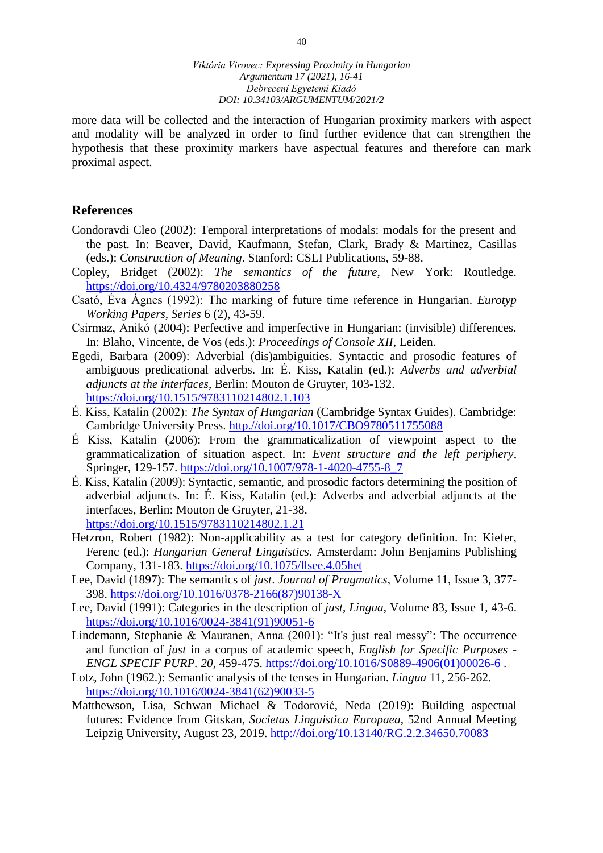more data will be collected and the interaction of Hungarian proximity markers with aspect and modality will be analyzed in order to find further evidence that can strengthen the hypothesis that these proximity markers have aspectual features and therefore can mark proximal aspect.

#### **References**

- Condoravdi Cleo (2002): Temporal interpretations of modals: modals for the present and the past. In: Beaver, David, Kaufmann, Stefan, Clark, Brady & Martinez, Casillas (eds.): *Construction of Meaning*. Stanford: CSLI Publications, 59-88.
- Copley, Bridget (2002): *The semantics of the future*, New York: Routledge. <https://doi.org/10.4324/9780203880258>
- Csató, Éva Ágnes (1992): The marking of future time reference in Hungarian. *Eurotyp Working Papers, Series* 6 (2), 43-59.
- Csirmaz, Anikó (2004): Perfective and imperfective in Hungarian: (invisible) differences. In: Blaho, Vincente, de Vos (eds.): *Proceedings of Console XII*, Leiden.
- Egedi, Barbara (2009): Adverbial (dis)ambiguities. Syntactic and prosodic features of ambiguous predicational adverbs. In: É. Kiss, Katalin (ed.): *Adverbs and adverbial adjuncts at the interfaces*, Berlin: Mouton de Gruyter, 103-132. <https://doi.org/10.1515/9783110214802.1.103>
- É. Kiss, Katalin (2002): *The Syntax of Hungarian* (Cambridge Syntax Guides). Cambridge: Cambridge University Press. [http.//doi.org/10.1017/CBO9780511755088](http./doi.org/10.1017/CBO9780511755088)
- É Kiss, Katalin (2006): From the grammaticalization of viewpoint aspect to the grammaticalization of situation aspect. In: *Event structure and the left periphery*, Springer, 129-157. [https://doi.org/10.1007/978-1-4020-4755-8\\_7](https://doi.org/10.1007/978-1-4020-4755-8_7)
- É. Kiss, Katalin (2009): Syntactic, semantic, and prosodic factors determining the position of adverbial adjuncts. In: É. Kiss, Katalin (ed.): Adverbs and adverbial adjuncts at the interfaces, Berlin: Mouton de Gruyter, 21-38. <https://doi.org/10.1515/9783110214802.1.21>
- Hetzron, Robert (1982): Non-applicability as a test for category definition. In: Kiefer, Ferenc (ed.): *Hungarian General Linguistics*. Amsterdam: John Benjamins Publishing Company, 131-183. <https://doi.org/10.1075/llsee.4.05het>
- Lee, David (1897): The semantics of *just*. *Journal of Pragmatics*, Volume 11, Issue 3, 377- 398. [https://doi.org/10.1016/0378-2166\(87\)90138-X](https://doi.org/10.1016/0378-2166(87)90138-X)
- Lee, David (1991): Categories in the description of *just*, *Lingua*, Volume 83, Issue 1, 43-6. [https://doi.org/10.1016/0024-3841\(91\)90051-6](https://doi.org/10.1016/0024-3841(91)90051-6)
- Lindemann, Stephanie & Mauranen, Anna (2001): "It's just real messy": The occurrence and function of *just* in a corpus of academic speech, *English for Specific Purposes - ENGL SPECIF PURP. 20*, 459-475. [https://doi.org/10.1016/S0889-4906\(01\)00026-6](https://doi.org/10.1016/S0889-4906(01)00026-6) .
- Lotz, John (1962.): Semantic analysis of the tenses in Hungarian. *Lingua* 11, 256-262. [https://doi.org/10.1016/0024-3841\(62\)90033-5](https://doi.org/10.1016/0024-3841(62)90033-5)
- Matthewson, Lisa, Schwan Michael & Todorović, Neda (2019): Building aspectual futures: Evidence from Gitskan, *Societas Linguistica Europaea*, 52nd Annual Meeting Leipzig University, August 23, 2019.<http://doi.org/10.13140/RG.2.2.34650.70083>